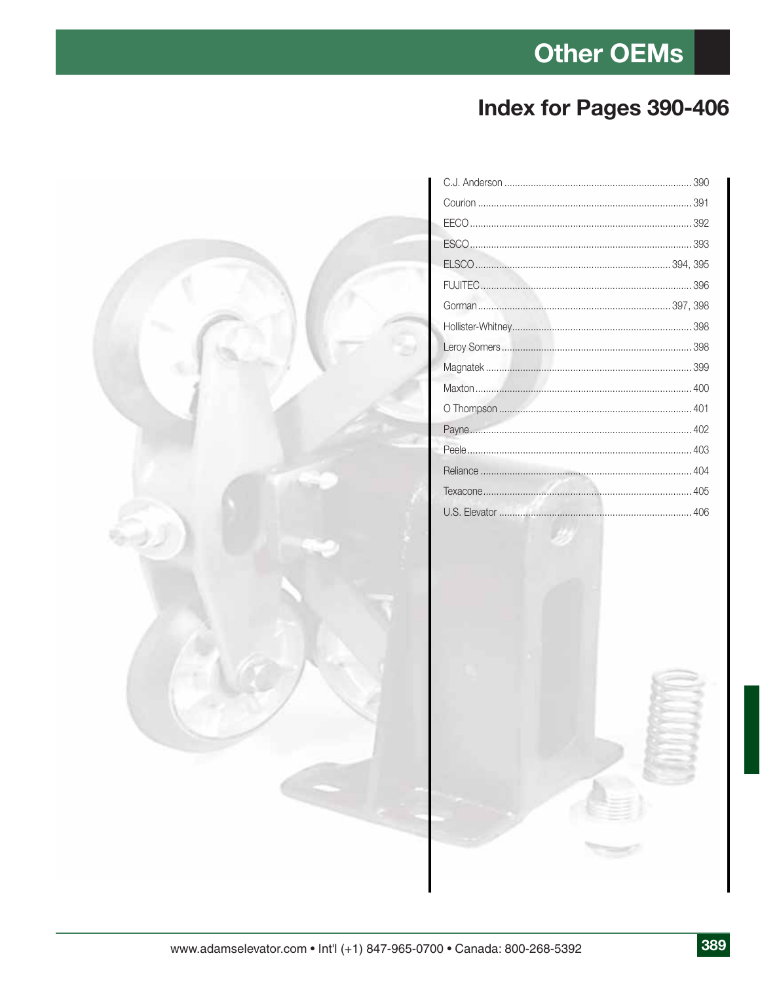#### **Index for Pages 390-406**

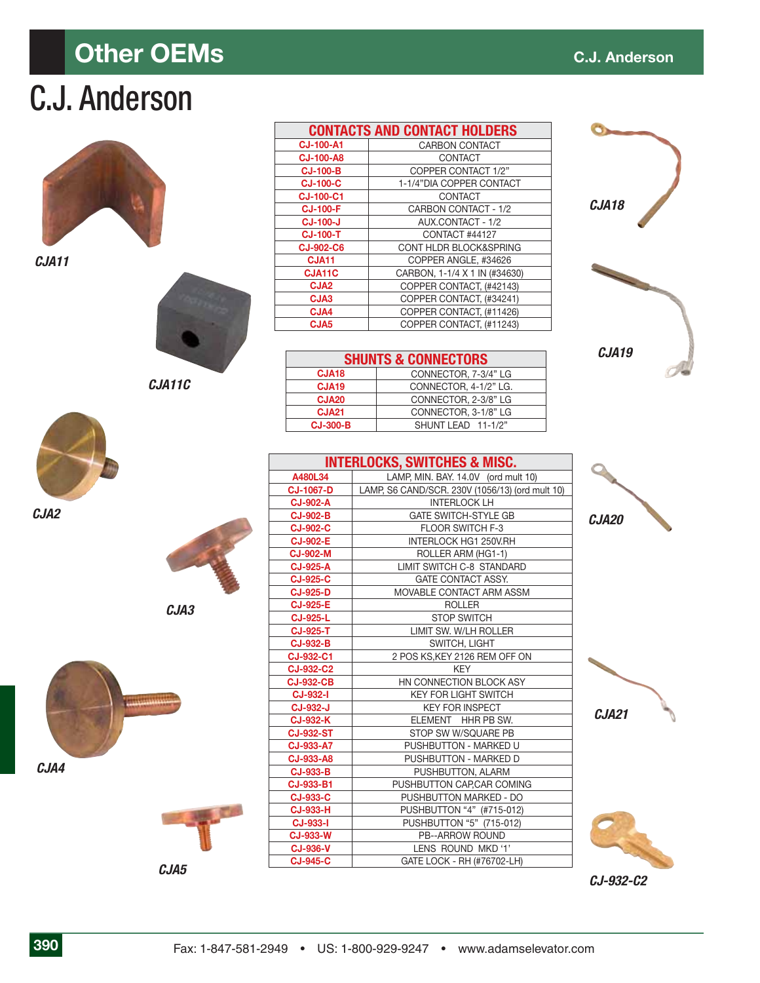## **Other OEMs** C.J. Anderson

# C.J. Anderson

|                   | <b>CONTACTS AND CONTACT HOLDERS</b> |
|-------------------|-------------------------------------|
| <b>CJ-100-A1</b>  | <b>CARBON CONTACT</b>               |
| <b>CJ-100-A8</b>  | CONTACT                             |
| <b>CJ-100-B</b>   | COPPER CONTACT 1/2"                 |
| <b>CJ-100-C</b>   | 1-1/4"DIA COPPER CONTACT            |
| <b>CJ-100-C1</b>  | <b>CONTACT</b>                      |
| <b>CJ-100-F</b>   | CARBON CONTACT - 1/2                |
| <b>CJ-100-J</b>   | AUX.CONTACT - 1/2                   |
| <b>CJ-100-T</b>   | CONTACT #44127                      |
| <b>CJ-902-C6</b>  | CONT HLDR BLOCK&SPRING              |
| CJA <sub>11</sub> | COPPER ANGLE, #34626                |
| CJA11C            | CARBON, 1-1/4 X 1 IN (#34630)       |
| CJA <sub>2</sub>  | COPPER CONTACT. (#42143)            |
| CJA3              | COPPER CONTACT. (#34241)            |
| CJA4              | COPPER CONTACT. (#11426)            |
|                   |                                     |

| <b>SHUNTS &amp; CONNECTORS</b> |                       |  |  |  |
|--------------------------------|-----------------------|--|--|--|
| CJA <sub>18</sub>              | CONNECTOR, 7-3/4" LG  |  |  |  |
| CJA <sub>19</sub>              | CONNECTOR, 4-1/2" LG. |  |  |  |
| <b>CJA20</b>                   | CONNECTOR, 2-3/8" LG  |  |  |  |
| <b>CJA21</b>                   | CONNECTOR, 3-1/8" LG  |  |  |  |
| <b>CJ-300-B</b>                | SHUNT LEAD 11-1/2"    |  |  |  |
|                                |                       |  |  |  |

**CJA5** COPPER CONTACT, (#11243)

| <b>INTERLOCKS, SWITCHES &amp; MISC.</b> |                                                 |  |  |  |
|-----------------------------------------|-------------------------------------------------|--|--|--|
| A480L34                                 | LAMP, MIN. BAY. 14.0V (ord mult 10)             |  |  |  |
| <b>CJ-1067-D</b>                        | LAMP, S6 CAND/SCR. 230V (1056/13) (ord mult 10) |  |  |  |
| <b>CJ-902-A</b>                         | <b>INTERLOCK LH</b>                             |  |  |  |
| <b>CJ-902-B</b>                         | <b>GATE SWITCH-STYLE GB</b>                     |  |  |  |
| <b>CJ-902-C</b>                         | <b>FLOOR SWITCH F-3</b>                         |  |  |  |
| <b>CJ-902-E</b>                         | INTERLOCK HG1 250V.RH                           |  |  |  |
| <b>CJ-902-M</b>                         | ROLLER ARM (HG1-1)                              |  |  |  |
| <b>CJ-925-A</b>                         | LIMIT SWITCH C-8 STANDARD                       |  |  |  |
| <b>CJ-925-C</b>                         | <b>GATE CONTACT ASSY.</b>                       |  |  |  |
| <b>CJ-925-D</b>                         | MOVABLE CONTACT ARM ASSM                        |  |  |  |
| <b>CJ-925-E</b>                         | <b>ROLLER</b>                                   |  |  |  |
| <b>CJ-925-L</b>                         | <b>STOP SWITCH</b>                              |  |  |  |
| <b>CJ-925-T</b>                         | LIMIT SW. W/LH ROLLER                           |  |  |  |
| <b>CJ-932-B</b>                         | SWITCH, LIGHT                                   |  |  |  |
| CJ-932-C1                               | 2 POS KS, KEY 2126 REM OFF ON                   |  |  |  |
| <b>CJ-932-C2</b>                        | <b>KEY</b>                                      |  |  |  |
| <b>CJ-932-CB</b>                        | HN CONNECTION BLOCK ASY                         |  |  |  |
| <b>CJ-932-I</b>                         | <b>KEY FOR LIGHT SWITCH</b>                     |  |  |  |
| <b>CJ-932-J</b>                         | <b>KEY FOR INSPECT</b>                          |  |  |  |
| <b>CJ-932-K</b>                         | ELEMENT HHR PB SW.                              |  |  |  |
| <b>CJ-932-ST</b>                        | STOP SW W/SQUARE PB                             |  |  |  |
| CJ-933-A7                               | PUSHBUTTON - MARKED U                           |  |  |  |
| CJ-933-A8                               | PUSHBUTTON - MARKED D                           |  |  |  |
| <b>CJ-933-B</b>                         | PUSHBUTTON, ALARM                               |  |  |  |
| <b>CJ-933-B1</b>                        | PUSHBUTTON CAP, CAR COMING                      |  |  |  |
| <b>CJ-933-C</b>                         | PUSHBUTTON MARKED - DO                          |  |  |  |
| <b>CJ-933-H</b>                         | PUSHBUTTON "4" (#715-012)                       |  |  |  |
| <b>CJ-933-I</b>                         | PUSHBUTTON "5" (715-012)                        |  |  |  |
| <b>CJ-933-W</b>                         | <b>PB--ARROW ROUND</b>                          |  |  |  |
| <b>CJ-936-V</b>                         | LENS ROUND MKD '1'                              |  |  |  |
| <b>CJ-945-C</b>                         | GATE LOCK - RH (#76702-LH)                      |  |  |  |
|                                         |                                                 |  |  |  |

| 1<br>55 | <b>Contract Contract Contract</b><br>۰ |
|---------|----------------------------------------|
|         |                                        |
|         |                                        |

*CJA18*

*CJA19*

٦



*CJA21*



*CJ-932-C2*



*CJA2*

*CJA11*



*CJA3*

*CJA11C*



*CJA5*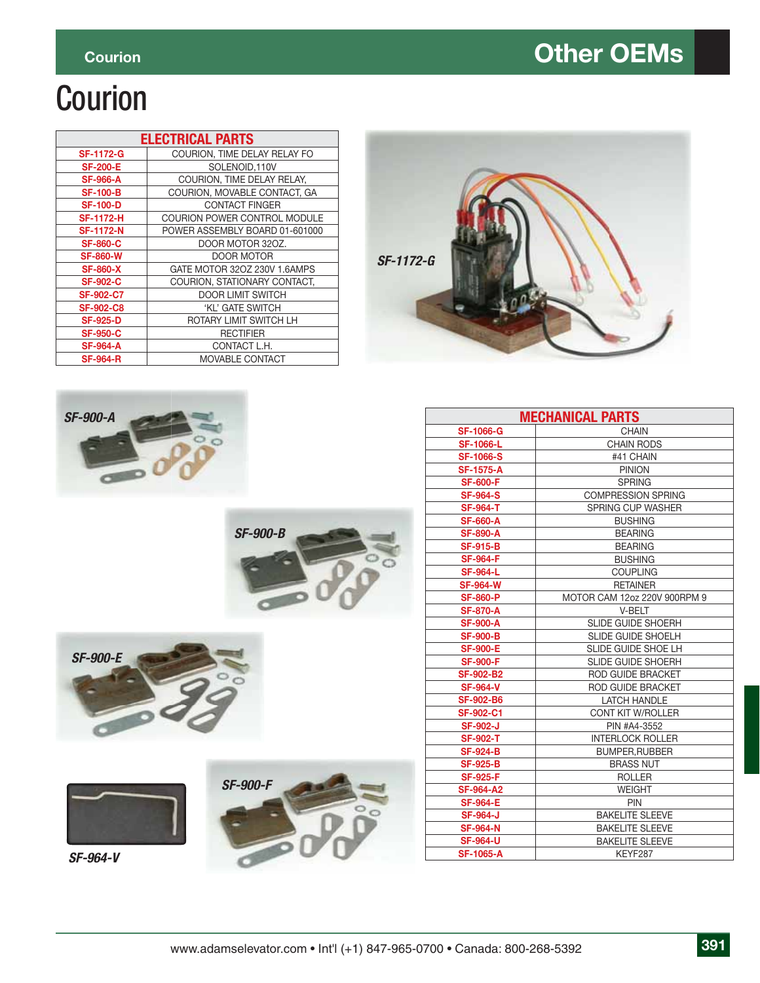### **Courion** Courion Courion Courion Courion Courion Courion Courion Courion Courion Courion Courion Courion Courion Courion Courion Courion Courion Courion Courion Courion Courion Courion Courion Courion Courion Courion Cour

# Courion

| <b>ELECTRICAL PARTS</b> |                                |  |  |  |
|-------------------------|--------------------------------|--|--|--|
| <b>SF-1172-G</b>        | COURION, TIME DELAY RELAY FO   |  |  |  |
| <b>SF-200-E</b>         | SOLENOID.110V                  |  |  |  |
| <b>SF-966-A</b>         | COURION. TIME DELAY RELAY.     |  |  |  |
| <b>SF-100-B</b>         | COURION, MOVABLE CONTACT, GA   |  |  |  |
| <b>SF-100-D</b>         | <b>CONTACT FINGER</b>          |  |  |  |
| <b>SF-1172-H</b>        | COURION POWER CONTROL MODULE   |  |  |  |
| <b>SF-1172-N</b>        | POWER ASSEMBLY BOARD 01-601000 |  |  |  |
| <b>SF-860-C</b>         | DOOR MOTOR 320Z.               |  |  |  |
| <b>SF-860-W</b>         | DOOR MOTOR                     |  |  |  |
| <b>SF-860-X</b>         | GATE MOTOR 32OZ 230V 1.6AMPS   |  |  |  |
| <b>SF-902-C</b>         | COURION, STATIONARY CONTACT.   |  |  |  |
| <b>SF-902-C7</b>        | <b>DOOR LIMIT SWITCH</b>       |  |  |  |
| <b>SF-902-C8</b>        | 'KL' GATE SWITCH               |  |  |  |
| <b>SF-925-D</b>         | ROTARY LIMIT SWITCH LH         |  |  |  |
| <b>SF-950-C</b>         | <b>RECTIFIER</b>               |  |  |  |
| <b>SF-964-A</b>         | CONTACT L.H.                   |  |  |  |
| <b>SF-964-R</b>         | MOVABLE CONTACT                |  |  |  |













| <b>MECHANICAL PARTS</b> |                              |  |  |  |
|-------------------------|------------------------------|--|--|--|
| <b>SF-1066-G</b>        | <b>CHAIN</b>                 |  |  |  |
| <b>SF-1066-L</b>        | <b>CHAIN RODS</b>            |  |  |  |
| <b>SF-1066-S</b>        | #41 CHAIN                    |  |  |  |
| <b>SF-1575-A</b>        | <b>PINION</b>                |  |  |  |
| <b>SF-600-F</b>         | <b>SPRING</b>                |  |  |  |
| <b>SF-964-S</b>         | <b>COMPRESSION SPRING</b>    |  |  |  |
| <b>SF-964-T</b>         | SPRING CUP WASHER            |  |  |  |
| <b>SF-660-A</b>         | <b>BUSHING</b>               |  |  |  |
| <b>SF-890-A</b>         | <b>BEARING</b>               |  |  |  |
| <b>SF-915-B</b>         | <b>BEARING</b>               |  |  |  |
| <b>SF-964-F</b>         | <b>BUSHING</b>               |  |  |  |
| <b>SF-964-L</b>         | <b>COUPLING</b>              |  |  |  |
| <b>SF-964-W</b>         | <b>RETAINER</b>              |  |  |  |
| <b>SF-860-P</b>         | MOTOR CAM 12oz 220V 900RPM 9 |  |  |  |
| <b>SF-870-A</b>         | V-BELT                       |  |  |  |
| <b>SF-900-A</b>         | <b>SLIDE GUIDE SHOERH</b>    |  |  |  |
| <b>SF-900-B</b>         | <b>SLIDE GUIDE SHOELH</b>    |  |  |  |
| <b>SF-900-E</b>         | <b>SLIDE GUIDE SHOE LH</b>   |  |  |  |
| <b>SF-900-F</b>         | <b>SLIDE GUIDE SHOERH</b>    |  |  |  |
| <b>SF-902-B2</b>        | ROD GUIDE BRACKET            |  |  |  |
| <b>SF-964-V</b>         | <b>ROD GUIDE BRACKET</b>     |  |  |  |
| <b>SF-902-B6</b>        | <b>LATCH HANDLE</b>          |  |  |  |
| <b>SF-902-C1</b>        | <b>CONT KIT W/ROLLER</b>     |  |  |  |
| <b>SF-902-J</b>         | PIN #A4-3552                 |  |  |  |
| <b>SF-902-T</b>         | <b>INTERLOCK ROLLER</b>      |  |  |  |
| <b>SF-924-B</b>         | <b>BUMPER, RUBBER</b>        |  |  |  |
| <b>SF-925-B</b>         | <b>BRASS NUT</b>             |  |  |  |
| <b>SF-925-F</b>         | <b>ROLLER</b>                |  |  |  |
| <b>SF-964-A2</b>        | <b>WEIGHT</b>                |  |  |  |
| <b>SF-964-E</b>         | PIN                          |  |  |  |
| <b>SF-964-J</b>         | <b>BAKELITE SLEEVE</b>       |  |  |  |
| <b>SF-964-N</b>         | <b>BAKELITE SLEEVE</b>       |  |  |  |
| <b>SF-964-U</b>         | <b>BAKELITE SLEEVE</b>       |  |  |  |
| <b>SF-1065-A</b>        | KEYF287                      |  |  |  |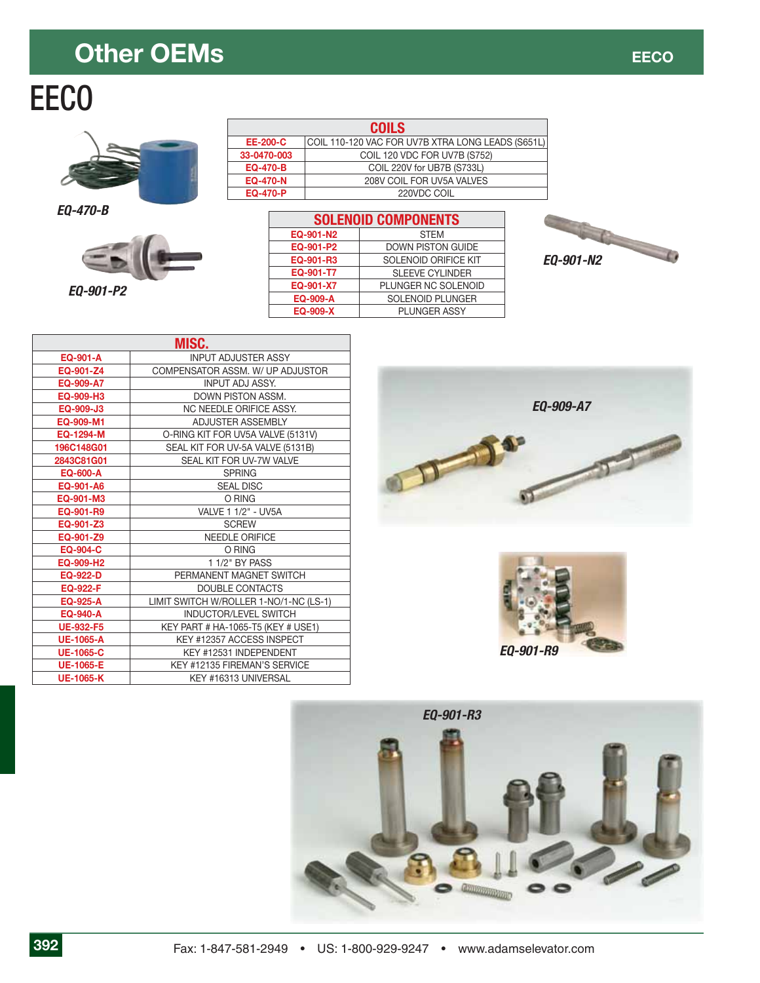### **Other OEMs EXAMPLE 2008**

# EECO



*EQ-470-B*



*EQ-901-P2*

|                 | <b>COILS</b>                                      |
|-----------------|---------------------------------------------------|
| <b>EE-200-C</b> | COIL 110-120 VAC FOR UV7B XTRA LONG LEADS (S651L) |
| 33-0470-003     | COIL 120 VDC FOR UV7B (S752)                      |
| <b>EQ-470-B</b> | COIL 220V for UB7B (S733L)                        |
| <b>EQ-470-N</b> | 208V COIL FOR UV5A VALVES                         |
| <b>EQ-470-P</b> | 220VDC COIL                                       |

| <b>SOLENOID COMPONENTS</b>        |                          |  |  |  |  |
|-----------------------------------|--------------------------|--|--|--|--|
| EQ-901-N2                         | <b>STEM</b>              |  |  |  |  |
| EQ-901-P2                         | <b>DOWN PISTON GUIDE</b> |  |  |  |  |
| SOLENOID ORIFICE KIT<br>EQ-901-R3 |                          |  |  |  |  |
| EQ-901-T7                         | <b>SLEEVE CYLINDER</b>   |  |  |  |  |
| EQ-901-X7                         | PLUNGER NC SOLENOID      |  |  |  |  |
| EQ-909-A                          | <b>SOLENOID PLUNGER</b>  |  |  |  |  |
| EQ-909-X                          | <b>PLUNGER ASSY</b>      |  |  |  |  |



| MISC.            |                                        |  |  |  |
|------------------|----------------------------------------|--|--|--|
| EQ-901-A         | <b>INPUT ADJUSTER ASSY</b>             |  |  |  |
| EQ-901-Z4        | COMPENSATOR ASSM. W/ UP ADJUSTOR       |  |  |  |
| EQ-909-A7        | <b>INPUT ADJ ASSY.</b>                 |  |  |  |
| EQ-909-H3        | DOWN PISTON ASSM.                      |  |  |  |
| EQ-909-J3        | NC NEEDLE ORIFICE ASSY.                |  |  |  |
| EQ-909-M1        | <b>ADJUSTER ASSEMBLY</b>               |  |  |  |
| EQ-1294-M        | O-RING KIT FOR UV5A VALVE (5131V)      |  |  |  |
| 196C148G01       | SEAL KIT FOR UV-5A VALVE (5131B)       |  |  |  |
| 2843C81G01       | SEAL KIT FOR UV-7W VALVE               |  |  |  |
| <b>EQ-600-A</b>  | <b>SPRING</b>                          |  |  |  |
| EQ-901-A6        | <b>SEAL DISC</b>                       |  |  |  |
| EQ-901-M3        | O RING                                 |  |  |  |
| EQ-901-R9        | VALVE 1 1/2" - UV5A                    |  |  |  |
| EQ-901-Z3        | <b>SCREW</b>                           |  |  |  |
| EQ-901-Z9        | <b>NEEDLE ORIFICE</b>                  |  |  |  |
| <b>EQ-904-C</b>  | O RING                                 |  |  |  |
| EQ-909-H2        | 1 1/2" BY PASS                         |  |  |  |
| <b>EQ-922-D</b>  | PERMANENT MAGNET SWITCH                |  |  |  |
| <b>EQ-922-F</b>  | DOUBLE CONTACTS                        |  |  |  |
| EQ-925-A         | LIMIT SWITCH W/ROLLER 1-NO/1-NC (LS-1) |  |  |  |
| <b>EQ-940-A</b>  | <b>INDUCTOR/LEVEL SWITCH</b>           |  |  |  |
| <b>UE-932-F5</b> | KEY PART # HA-1065-T5 (KEY # USE1)     |  |  |  |
| <b>UE-1065-A</b> | KEY #12357 ACCESS INSPECT              |  |  |  |
| <b>UE-1065-C</b> | KEY #12531 INDEPENDENT                 |  |  |  |
| <b>UE-1065-E</b> | KEY #12135 FIREMAN'S SERVICE           |  |  |  |
| <b>UE-1065-K</b> | KEY #16313 UNIVERSAL                   |  |  |  |





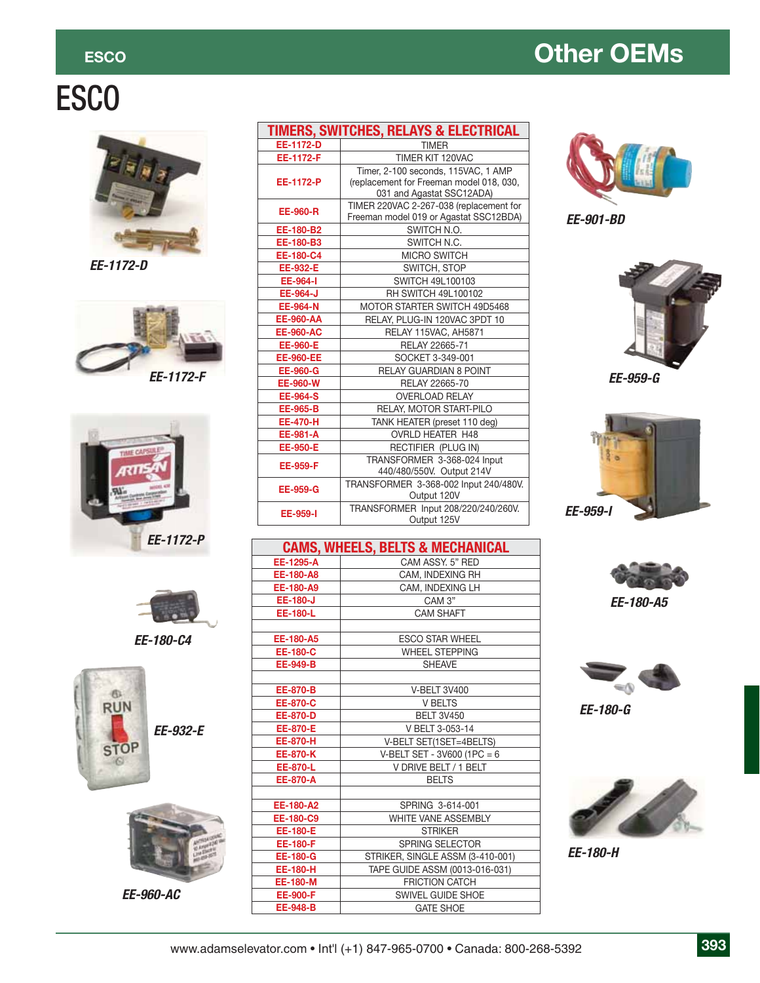### **ESCO CONSUMING CONSUMING CONSUMING CONSUMING CONSUMING CONSUMING CONSUMING CONSUMING CONSUMING CONSUMING CONSUMING CONSUMING CONSUMING CONSUMING CONSUMING CONSUMING CONSUMING CONSUMING CONSUMING CONSUMING CONSUMING CONSUM**

# ESCO



*EE-1172-D*







*EE-180-C4*





*EE-960-AC*

| <b>TIMERS, SWITCHES, RELAYS &amp; ELECTRICAL</b> |                                                                                                              |  |  |
|--------------------------------------------------|--------------------------------------------------------------------------------------------------------------|--|--|
| EE-1172-D                                        | <b>TIMER</b>                                                                                                 |  |  |
| EE-1172-F                                        | TIMER KIT 120VAC                                                                                             |  |  |
| EE-1172-P                                        | Timer, 2-100 seconds, 115VAC, 1 AMP<br>(replacement for Freeman model 018, 030,<br>031 and Agastat SSC12ADA) |  |  |
| <b>EE-960-R</b>                                  | TIMER 220VAC 2-267-038 (replacement for<br>Freeman model 019 or Agastat SSC12BDA)                            |  |  |
| EE-180-B2                                        | SWITCH N.O.                                                                                                  |  |  |
| EE-180-B3                                        | SWITCH N.C.                                                                                                  |  |  |
| EE-180-C4                                        | <b>MICRO SWITCH</b>                                                                                          |  |  |
| <b>EE-932-E</b>                                  | SWITCH, STOP                                                                                                 |  |  |
| <b>EE-964-I</b>                                  | SWITCH 49L100103                                                                                             |  |  |
| <b>EE-964-J</b>                                  | RH SWITCH 49L100102                                                                                          |  |  |
| <b>EE-964-N</b>                                  | MOTOR STARTER SWITCH 49D5468                                                                                 |  |  |
| <b>EE-960-AA</b>                                 | RELAY, PLUG-IN 120VAC 3PDT 10                                                                                |  |  |
| <b>EE-960-AC</b>                                 | RELAY 115VAC, AH5871                                                                                         |  |  |
| <b>EE-960-E</b>                                  | RELAY 22665-71                                                                                               |  |  |
| <b>EE-960-EE</b>                                 | SOCKET 3-349-001                                                                                             |  |  |
| <b>EE-960-G</b>                                  | <b>RELAY GUARDIAN 8 POINT</b>                                                                                |  |  |
| EE-960-W                                         | RELAY 22665-70                                                                                               |  |  |
| <b>EE-964-S</b>                                  | <b>OVERLOAD RELAY</b>                                                                                        |  |  |
| <b>EE-965-B</b>                                  | RELAY, MOTOR START-PILO                                                                                      |  |  |
| <b>EE-470-H</b>                                  | TANK HEATER (preset 110 deg)                                                                                 |  |  |
| <b>EE-981-A</b>                                  | <b>OVRLD HEATER H48</b>                                                                                      |  |  |
| <b>EE-950-E</b>                                  | RECTIFIER (PLUG IN)                                                                                          |  |  |
| <b>EE-959-F</b>                                  | TRANSFORMER 3-368-024 Input<br>440/480/550V. Output 214V                                                     |  |  |
| <b>EE-959-G</b>                                  | TRANSFORMER 3-368-002 Input 240/480V.<br>Output 120V                                                         |  |  |
| EE-959-I                                         | TRANSFORMER Input 208/220/240/260V.<br>Output 125V                                                           |  |  |

|                                 | <b>CAMS, WHEELS, BELTS &amp; MECHANICAL</b> |  |  |  |
|---------------------------------|---------------------------------------------|--|--|--|
| EE-1295-A                       | CAM ASSY, 5" RED                            |  |  |  |
| EE-180-A8                       | CAM, INDEXING RH                            |  |  |  |
| EE-180-A9                       | CAM, INDEXING LH                            |  |  |  |
| <b>EE-180-J</b>                 | CAM 3"                                      |  |  |  |
| <b>EE-180-L</b>                 | CAM SHAFT                                   |  |  |  |
|                                 |                                             |  |  |  |
| EE-180-A5                       | <b>ESCO STAR WHEEL</b>                      |  |  |  |
| <b>EE-180-C</b>                 | <b>WHEEL STEPPING</b>                       |  |  |  |
| <b>EE-949-B</b>                 | <b>SHEAVE</b>                               |  |  |  |
|                                 |                                             |  |  |  |
| <b>EE-870-B</b>                 | <b>V-BELT 3V400</b>                         |  |  |  |
| <b>EE-870-C</b>                 | <b>V BELTS</b>                              |  |  |  |
| <b>EE-870-D</b>                 | <b>BELT 3V450</b>                           |  |  |  |
| <b>EE-870-E</b>                 | V BELT 3-053-14                             |  |  |  |
| <b>EE-870-H</b>                 | V-BELT SET(1SET=4BELTS)                     |  |  |  |
| <b>EE-870-K</b>                 | V-BELT SET - 3V600 (1PC = 6                 |  |  |  |
| EE-870-L                        | V DRIVE BELT / 1 BELT                       |  |  |  |
| <b>EE-870-A</b><br><b>BELTS</b> |                                             |  |  |  |
|                                 |                                             |  |  |  |
| EE-180-A2                       | SPRING 3-614-001                            |  |  |  |
| EE-180-C9                       | <b>WHITE VANE ASSEMBLY</b>                  |  |  |  |
| <b>EE-180-E</b>                 | <b>STRIKER</b>                              |  |  |  |
| <b>EE-180-F</b>                 | <b>SPRING SELECTOR</b>                      |  |  |  |
| <b>EE-180-G</b>                 | STRIKER, SINGLE ASSM (3-410-001)            |  |  |  |
| <b>EE-180-H</b>                 | TAPE GUIDE ASSM (0013-016-031)              |  |  |  |
| <b>EE-180-M</b>                 | <b>FRICTION CATCH</b>                       |  |  |  |
| <b>EE-900-F</b>                 | <b>SWIVEL GUIDE SHOE</b>                    |  |  |  |
| <b>EE-948-B</b>                 | <b>GATE SHOE</b>                            |  |  |  |



*EE-901-BD*



*EE-959-G*





*EE-180-A5*



*EE-180-G*



*EE-180-H*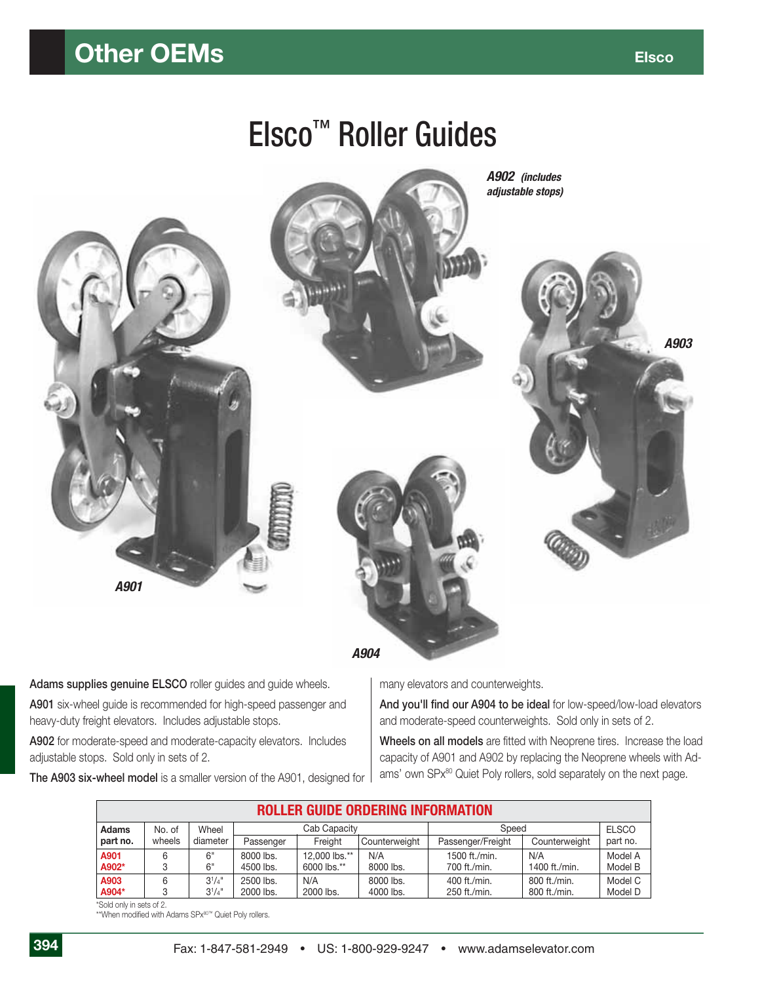#### **Other OEMs Elsico Elsico Elsico Elsico**

# Elsco™ Roller Guides



*A904*

Adams supplies genuine **ELSCO** roller guides and guide wheels.

**A901** six-wheel guide is recommended for high-speed passenger and heavy-duty freight elevators. Includes adjustable stops.

**A902** for moderate-speed and moderate-capacity elevators. Includes adjustable stops. Sold only in sets of 2.

**The A903 six-wheel model** is a smaller version of the A901, designed for

many elevators and counterweights.

And you'll find our A904 to be ideal for low-speed/low-load elevators and moderate-speed counterweights. Sold only in sets of 2.

Wheels on all models are fitted with Neoprene tires. Increase the load capacity of A901 and A902 by replacing the Neoprene wheels with Adams' own SPx<sup>80</sup> Quiet Poly rollers, sold separately on the next page.

|              | <b>ROLLER GUIDE ORDERING INFORMATION</b> |             |              |               |               |                   |               |          |
|--------------|------------------------------------------|-------------|--------------|---------------|---------------|-------------------|---------------|----------|
| <b>Adams</b> | No. of                                   | Wheel       | Cab Capacity |               | Speed         |                   | <b>ELSCO</b>  |          |
| part no.     | wheels                                   | diameter    | Passenger    | Freight       | Counterweight | Passenger/Freight | Counterweight | part no. |
| A901         |                                          | 6"          | 8000 lbs.    | 12,000 lbs.** | N/A           | 1500 ft./min.     | N/A           | Model A  |
| A902*        |                                          | 6"          | 4500 lbs.    | 6000 lbs.**   | 8000 lbs.     | 700 ft./min.      | 1400 ft./min. | Model B  |
| A903         |                                          | $3^{1}/4$ " | 2500 lbs.    | N/A           | 8000 lbs.     | 400 ft./min.      | 800 ft./min.  | Model C  |
| A904*        |                                          | $3^{1}/4$ " | 2000 lbs.    | 2000 lbs.     | 4000 lbs.     | 250 ft./min.      | 800 ft./min.  | Model D  |

\*Sold only in sets of 2.

\*\*When modified with Adams SPx80™ Quiet Poly rollers.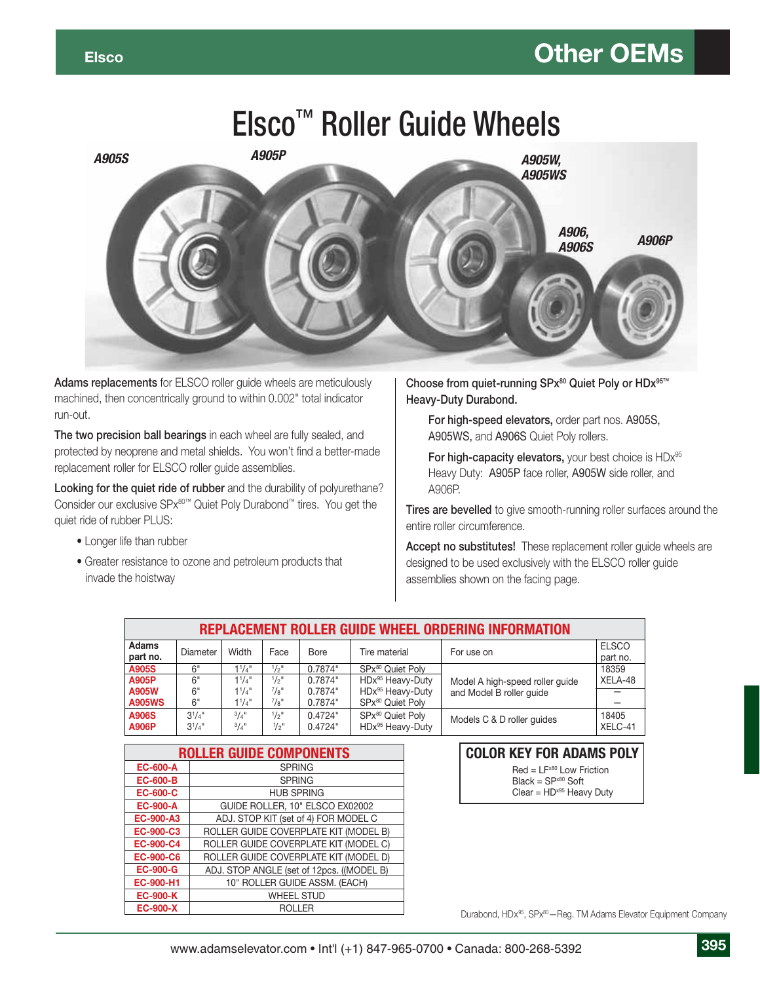# Elsco™ Roller Guide Wheels



**Adams replacements** for ELSCO roller guide wheels are meticulously machined, then concentrically ground to within 0.002" total indicator run-out.

**The two precision ball bearings** in each wheel are fully sealed, and protected by neoprene and metal shields. You won't find a better-made replacement roller for ELSCO roller guide assemblies.

**Looking for the quiet ride of rubber** and the durability of polyurethane? Consider our exclusive SPx80™ Quiet Poly Durabond™ tires. You get the quiet ride of rubber PLUS:

- Longer life than rubber
- Greater resistance to ozone and petroleum products that invade the hoistway

**Choose from quiet-running SPx80 Quiet Poly or HDx95™ Heavy-Duty Durabond.**

**For high-speed elevators,** order part nos. A905S, A905WS, and A906S Quiet Poly rollers.

For high-capacity elevators, your best choice is HDx<sup>95</sup> Heavy Duty: A905P face roller, A905W side roller, and A906P.

**Tires are bevelled** to give smooth-running roller surfaces around the entire roller circumference.

**Accept no substitutes!** These replacement roller guide wheels are designed to be used exclusively with the ELSCO roller guide assemblies shown on the facing page.

| REPLACEMENT ROLLER GUIDE WHEEL ORDERING INFORMATION |                            |                                |                                      |                    |                                                  |                                 |                          |
|-----------------------------------------------------|----------------------------|--------------------------------|--------------------------------------|--------------------|--------------------------------------------------|---------------------------------|--------------------------|
| Adams<br>part no.                                   | Diameter                   | Width                          | Face                                 | Bore               | Tire material                                    | For use on                      | <b>ELSCO</b><br>part no. |
| A905S                                               | 6"                         | $1^{1}/4$ "                    | $1/2$ <sup>11</sup>                  | 0.7874"            | SPx <sup>80</sup> Quiet Poly                     |                                 | 18359                    |
| <b>A905P</b>                                        | 6"                         | $1^{1}/4$ "                    | $1/2$ <sup>11</sup>                  | 0.7874"            | HDx <sup>95</sup> Heavy-Duty                     | Model A high-speed roller guide | XELA-48                  |
| <b>A905W</b>                                        | 6"                         | $1^{1}/4$ "                    | $^{7}/8"$                            | 0.7874"            | HDx <sup>95</sup> Heavy-Duty                     | and Model B roller quide        |                          |
| <b>A905WS</b>                                       | 6"                         | $1^{1}/4$ "                    | $^{7}/\mathrm{g}$ "                  | 0.7874"            | SPx80 Quiet Poly                                 |                                 |                          |
| <b>A906S</b><br><b>A906P</b>                        | $3^{1}/4$ "<br>$3^{1}/4$ " | $3/4$ <sup>11</sup><br>$3/4$ " | $1/2$ <sup>11</sup><br>$\frac{1}{2}$ | 0.4724"<br>0.4724" | SPx80 Quiet Poly<br>HDx <sup>95</sup> Heavy-Duty | Models C & D roller quides      | 18405<br>XELC-41         |

| <b>ROLLER GUIDE COMPONENTS</b> |                                           |  |  |  |
|--------------------------------|-------------------------------------------|--|--|--|
| <b>EC-600-A</b>                | <b>SPRING</b>                             |  |  |  |
| <b>EC-600-B</b>                | <b>SPRING</b>                             |  |  |  |
| <b>EC-600-C</b>                | <b>HUB SPRING</b>                         |  |  |  |
| <b>EC-900-A</b>                | GUIDE ROLLER, 10" ELSCO EX02002           |  |  |  |
| <b>EC-900-A3</b>               | ADJ. STOP KIT (set of 4) FOR MODEL C      |  |  |  |
| EC-900-C3                      | ROLLER GUIDE COVERPLATE KIT (MODEL B)     |  |  |  |
| <b>EC-900-C4</b>               | ROLLER GUIDE COVERPLATE KIT (MODEL C)     |  |  |  |
| <b>EC-900-C6</b>               | ROLLER GUIDE COVERPLATE KIT (MODEL D)     |  |  |  |
| <b>EC-900-G</b>                | ADJ. STOP ANGLE (set of 12pcs. ((MODEL B) |  |  |  |
| EC-900-H1                      | 10" ROLLER GUIDE ASSM. (EACH)             |  |  |  |
| <b>EC-900-K</b>                | <b>WHEEL STUD</b>                         |  |  |  |
| <b>EC-900-X</b>                | ROI I FR                                  |  |  |  |

#### **COLOR KEY FOR ADAMS POLY**

 $Red = LF<sup>x80</sup>$  Low Friction  $Black = SP<sup>x80</sup>$  Soft

 $Clear = HD^{x95}$  Heavy Duty

Durabond, HDx<sup>95</sup>, SPx<sup>80</sup>-Reg. TM Adams Elevator Equipment Company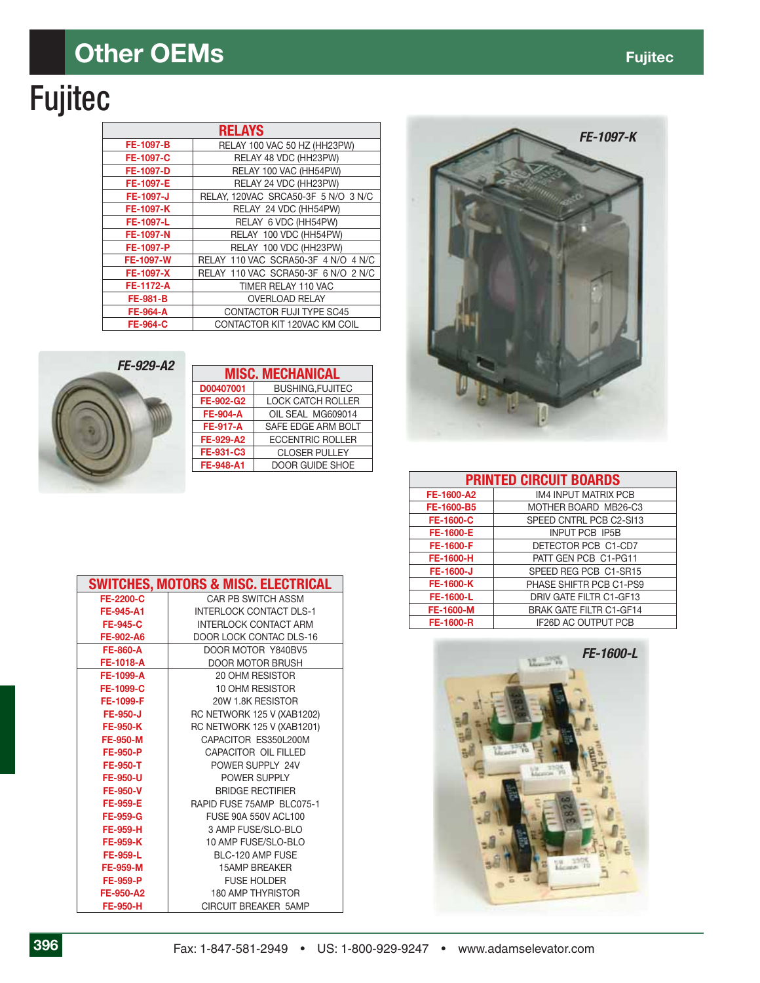### **Other OEMs** *COLORED ALCOHOLOGY*

# Fujitec

| <b>RELAYS</b>    |                                     |  |  |  |
|------------------|-------------------------------------|--|--|--|
| FE-1097-B        | RELAY 100 VAC 50 HZ (HH23PW)        |  |  |  |
| FE-1097-C        | RELAY 48 VDC (HH23PW)               |  |  |  |
| FE-1097-D        | RELAY 100 VAC (HH54PW)              |  |  |  |
| FE-1097-E        | RELAY 24 VDC (HH23PW)               |  |  |  |
| FE-1097-J        | RELAY, 120VAC SRCA50-3F 5 N/O 3 N/C |  |  |  |
| FE-1097-K        | RELAY 24 VDC (HH54PW)               |  |  |  |
| FE-1097-L        | RELAY 6 VDC (HH54PW)                |  |  |  |
| FE-1097-N        | RELAY 100 VDC (HH54PW)              |  |  |  |
| FE-1097-P        | RELAY 100 VDC (HH23PW)              |  |  |  |
| FE-1097-W        | RELAY 110 VAC SCRA50-3F 4 N/O 4 N/C |  |  |  |
| FE-1097-X        | RELAY 110 VAC SCRA50-3F 6 N/O 2 N/C |  |  |  |
| <b>FE-1172-A</b> | TIMER RELAY 110 VAC                 |  |  |  |
| <b>FE-981-B</b>  | <b>OVERLOAD RELAY</b>               |  |  |  |
| <b>FE-964-A</b>  | CONTACTOR FUJI TYPE SC45            |  |  |  |
| <b>FE-964-C</b>  | CONTACTOR KIT 120VAC KM COIL        |  |  |  |



| <b>MISC. MECHANICAL</b> |                          |  |  |  |
|-------------------------|--------------------------|--|--|--|
| D00407001               | <b>BUSHING, FUJITEC</b>  |  |  |  |
| FE-902-G2               | <b>LOCK CATCH ROLLER</b> |  |  |  |
| <b>FE-904-A</b>         | OIL SEAL MG609014        |  |  |  |
| <b>FE-917-A</b>         | SAFE EDGE ARM BOLT       |  |  |  |
| FE-929-A2               | <b>ECCENTRIC ROLLER</b>  |  |  |  |
| FE-931-C3               | <b>CLOSER PULLEY</b>     |  |  |  |
| FE-948-A1               | <b>DOOR GUIDE SHOE</b>   |  |  |  |
|                         |                          |  |  |  |

|                 | <b>SWITCHES, MOTORS &amp; MISC. ELECTRICAL</b> |
|-----------------|------------------------------------------------|
| FE-2200-C       | <b>CAR PB SWITCH ASSM</b>                      |
| FE-945-A1       | <b>INTERLOCK CONTACT DLS-1</b>                 |
| <b>FE-945-C</b> | <b>INTERLOCK CONTACT ARM</b>                   |
| FE-902-A6       | <b>DOOR LOCK CONTAC DLS-16</b>                 |
| <b>FE-860-A</b> | DOOR MOTOR Y840BV5                             |
| FE-1018-A       | DOOR MOTOR BRUSH                               |
| FE-1099-A       | 20 OHM RESISTOR                                |
| FE-1099-C       | 10 OHM RESISTOR                                |
| FE-1099-F       | 20W 1.8K RESISTOR                              |
| <b>FE-950-J</b> | RC NETWORK 125 V (XAB1202)                     |
| <b>FE-950-K</b> | RC NETWORK 125 V (XAB1201)                     |
| <b>FE-950-M</b> | CAPACITOR ES350L200M                           |
| <b>FE-950-P</b> | CAPACITOR OIL FILLED                           |
| <b>FE-950-T</b> | POWER SUPPLY 24V                               |
| <b>FE-950-U</b> | POWER SUPPLY                                   |
| <b>FE-950-V</b> | <b>BRIDGE RECTIFIER</b>                        |
| <b>FE-959-E</b> | RAPID FUSE 75AMP BLC075-1                      |
| <b>FE-959-G</b> | <b>FUSE 90A 550V ACL100</b>                    |
| <b>FE-959-H</b> | 3 AMP FUSE/SLO-BLO                             |
| <b>FE-959-K</b> | 10 AMP FUSE/SLO-BLO                            |
| <b>FE-959-L</b> | BLC-120 AMP FUSE                               |
| <b>FE-959-M</b> | <b>15AMP BREAKER</b>                           |
| <b>FE-959-P</b> | <b>FUSE HOLDER</b>                             |
| FE-950-A2       | 180 AMP THYRISTOR                              |
| <b>FE-950-H</b> | <b>CIRCUIT BREAKER 5AMP</b>                    |



| <b>PRINTED CIRCUIT BOARDS</b> |                                |  |  |  |
|-------------------------------|--------------------------------|--|--|--|
| FE-1600-A2                    | <b>IM4 INPUT MATRIX PCB</b>    |  |  |  |
| FE-1600-B5                    | MOTHER BOARD MB26-C3           |  |  |  |
| <b>FE-1600-C</b>              | SPEED CNTRL PCB C2-SI13        |  |  |  |
| FE-1600-E                     | <b>INPUT PCB IP5B</b>          |  |  |  |
| FE-1600-F                     | DETECTOR PCB C1-CD7            |  |  |  |
| <b>FE-1600-H</b>              | PATT GEN PCB C1-PG11           |  |  |  |
| FE-1600-J                     | SPEED REG PCB C1-SR15          |  |  |  |
| <b>FE-1600-K</b>              | PHASE SHIFTR PCB C1-PS9        |  |  |  |
| FE-1600-L                     | DRIV GATE FILTR C1-GF13        |  |  |  |
| FE-1600-M                     | <b>BRAK GATE FILTR C1-GF14</b> |  |  |  |
| FE-1600-R                     | <b>IF26D AC OUTPUT PCB</b>     |  |  |  |

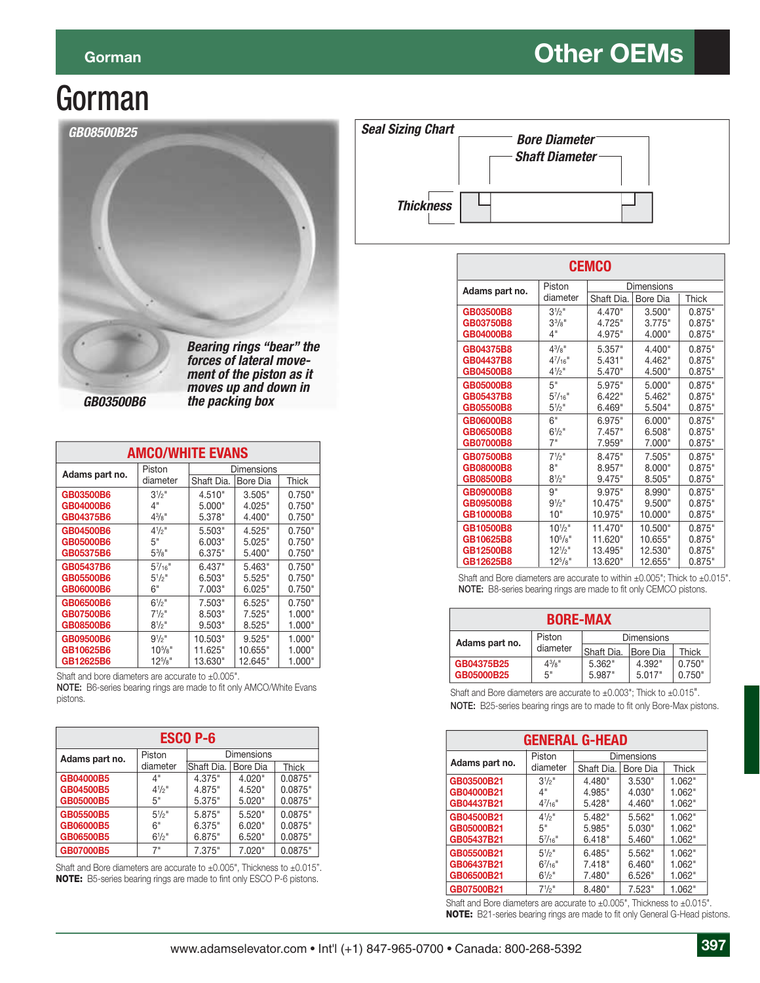#### **Gorman Contract CEMS**

## Gorman



 *GB03500B6 the packing box*

| <b>AMCO/WHITE EVANS</b> |                  |            |          |        |  |
|-------------------------|------------------|------------|----------|--------|--|
| Adams part no.          | Piston           | Dimensions |          |        |  |
|                         | diameter         | Shaft Dia. | Bore Dia | Thick  |  |
| GB03500B6               | $3^{1/2}$ "      | 4.510"     | 3.505"   | 0.750" |  |
| GB04000B6               | 4"               | 5.000"     | 4.025"   | 0.750" |  |
| GB04375B6               | $4\frac{3}{8}$ " | 5.378"     | 4.400"   | 0.750" |  |
| GB04500B6               | $4\frac{1}{2}$ " | 5.503"     | 4.525"   | 0.750" |  |
| GB05000B6               | 5"               | 6.003"     | 5.025"   | 0.750" |  |
| GB05375B6               | $5\frac{3}{8}$ " | 6.375"     | 5.400"   | 0.750" |  |
| GB05437B6               | $5^{7}/_{16}$ "  | 6.437"     | 5.463"   | 0.750" |  |
| GB05500B6               | $5^{1}/2$ "      | 6.503"     | 5.525"   | 0.750" |  |
| GB06000B6               | 6"               | 7.003"     | 6.025"   | 0.750" |  |
| GB06500B6               | $6^{1/2}$        | 7.503"     | 6.525"   | 0.750" |  |
| GB07500B6               | $7\frac{1}{2}$ " | 8.503"     | 7.525"   | 1.000" |  |
| GB08500B6               | $8^{1/2}$ "      | 9.503"     | 8.525"   | 1.000" |  |
| GB09500B6               | $9\frac{1}{2}$ " | 10.503"    | 9.525"   | 1.000" |  |
| GB10625B6               | $10^{5}/s$ "     | 11.625"    | 10.655"  | 1.000" |  |
| GB12625B6               | $12^{5}/8"$      | 13.630"    | 12.645"  | 1.000" |  |

Shaft and bore diameters are accurate to  $\pm 0.005$ ".

NOTE: B6-series bearing rings are made to fit only AMCO/White Evans pistons.

| <b>ESCO P-6</b> |                |                   |          |              |  |
|-----------------|----------------|-------------------|----------|--------------|--|
| Adams part no.  | Piston         | <b>Dimensions</b> |          |              |  |
|                 | diameter       | Shaft Dia.        | Bore Dia | <b>Thick</b> |  |
| GB04000B5       | 4"             | 4.375"            | 4.020"   | 0.0875"      |  |
| GB04500B5       | $4^{1/2}$ "    | 4.875"            | 4.520"   | 0.0875"      |  |
| GB05000B5       | 5"             | 5.375"            | 5.020"   | 0.0875"      |  |
| GB05500B5       | $5\frac{1}{2}$ | 5.875"            | 5.520"   | 0.0875"      |  |
| GB06000B5       | 6"             | 6.375"            | 6.020"   | 0.0875"      |  |
| GB06500B5       | $6^{1/2}$ "    | 6.875"            | 6.520"   | 0.0875"      |  |
| GB07000B5       | 7"             | 7.375"            | 7.020"   | 0.0875"      |  |

Shaft and Bore diameters are accurate to ±0.005", Thickness to ±0.015". **NOTE:** B5-series bearing rings are made to fint only ESCO P-6 pistons.

| <b>Seal Sizing Chart</b> | <b>Bore Diameter</b><br><b>Shaft Diameter</b> |  |
|--------------------------|-----------------------------------------------|--|
| <b>Thickness</b>         |                                               |  |

| <b>CEMCO</b>   |                  |                   |          |        |  |
|----------------|------------------|-------------------|----------|--------|--|
| Adams part no. | Piston           | <b>Dimensions</b> |          |        |  |
|                | diameter         | Shaft Dia.        | Bore Dia | Thick  |  |
| GB03500B8      | $3^{1/2}$ "      | 4.470"            | 3.500"   | 0.875" |  |
| GB03750B8      | $3^{3}/8"$       | 4.725"            | 3.775"   | 0.875" |  |
| GB04000B8      | 4"               | 4.975"            | 4.000"   | 0.875" |  |
| GB04375B8      | $4^{3}/8$ "      | 5.357"            | 4.400"   | 0.875" |  |
| GB04437B8      | $4^{7}/_{16}$ "  | 5.431"            | 4.462"   | 0.875" |  |
| GB04500B8      | $4^{1}/2$ "      | 5.470"            | 4.500"   | 0.875" |  |
| GB05000B8      | 5"               | 5.975"            | 5.000"   | 0.875" |  |
| GB05437B8      | $5^{7}/_{16}$ "  | 6.422"            | 5.462"   | 0.875" |  |
| GB05500B8      | $5\frac{1}{2}$ " | 6.469"            | 5.504"   | 0.875" |  |
| GB06000B8      | 6"               | 6.975"            | 6.000"   | 0.875" |  |
| GB06500B8      | $6^{1}/2$ "      | 7.457"            | 6.508"   | 0.875" |  |
| GB07000B8      | 7"               | 7.959"            | 7.000"   | 0.875" |  |
| GB07500B8      | $7^{1}/2$ "      | 8.475"            | 7.505"   | 0.875" |  |
| GB08000B8      | 8"               | 8.957"            | 8.000"   | 0.875" |  |
| GB08500B8      | $8^{1}/2$ "      | 9.475"            | 8.505"   | 0.875" |  |
| GB09000B8      | 9"               | 9.975"            | 8.990"   | 0.875" |  |
| GB09500B8      | $9^{1}/2"$       | 10.475"           | 9.500"   | 0.875" |  |
| GB10000B8      | 10"              | 10.975"           | 10.000"  | 0.875" |  |
| GB10500B8      | $10^{1/2}$ "     | 11.470"           | 10.500"  | 0.875" |  |
| GB10625B8      | $10^{5}/s$ "     | 11.620"           | 10.655"  | 0.875" |  |
| GB12500B8      | $12^{1/2}$ "     | 13.495"           | 12.530"  | 0.875" |  |
| GB12625B8      | $12^{5}/s$ "     | 13.620"           | 12.655"  | 0.875" |  |

Shaft and Bore diameters are accurate to within  $\pm 0.005$ "; Thick to  $\pm 0.015$ ". **NOTE:** B8-series bearing rings are made to fit only CEMCO pistons.

| <b>BORE-MAX</b> |             |                   |          |        |  |
|-----------------|-------------|-------------------|----------|--------|--|
| Adams part no.  | Piston      | <b>Dimensions</b> |          |        |  |
|                 | diameter    | Shaft Dia.        | Bore Dia | Thick  |  |
| GB04375B25      | $4^{3}/8$ " | 5.362"            | 4.392"   | 0.750" |  |
| GB05000B25      | 5"          | 5.987"            | 5.017"   | 0.750" |  |

Shaft and Bore diameters are accurate to ±0.003"; Thick to ±0.015". NOTE: B25-series bearing rings are to made to fit only Bore-Max pistons.

| <b>GENERAL G-HEAD</b> |                  |                   |          |        |  |
|-----------------------|------------------|-------------------|----------|--------|--|
|                       | Piston           | <b>Dimensions</b> |          |        |  |
| Adams part no.        | diameter         | Shaft Dia.        | Bore Dia | Thick  |  |
| GB03500B21            | $3\frac{1}{2}$ " | 4.480"            | 3.530"   | 1.062" |  |
| GB04000B21            | 4"               | 4.985"            | 4.030"   | 1.062" |  |
| GB04437B21            | $4^{7}/_{16}$ "  | 5.428"            | 4.460"   | 1.062" |  |
| GB04500B21            | $4^{1/2}$        | 5.482"            | 5.562"   | 1.062" |  |
| GB05000B21            | 5"               | 5.985"            | 5.030"   | 1.062" |  |
| GB05437B21            | $5\frac{7}{16}$  | 6.418"            | 5.460"   | 1.062" |  |
| GB05500B21            | $5\frac{1}{2}$ " | 6.485"            | 5.562"   | 1.062" |  |
| GB06437B21            | $6^{7}/_{16}$ "  | 7.418"            | 6.460"   | 1.062" |  |
| GB06500B21            | $6\frac{1}{2}$ " | 7.480"            | 6.526"   | 1.062" |  |
| GB07500B21            | $7^{1/2}$ "      | 8.480"            | 7.523"   | 1.062" |  |

Shaft and Bore diameters are accurate to ±0.005", Thickness to ±0.015". **NOTE:** B21-series bearing rings are made to fit only General G-Head pistons.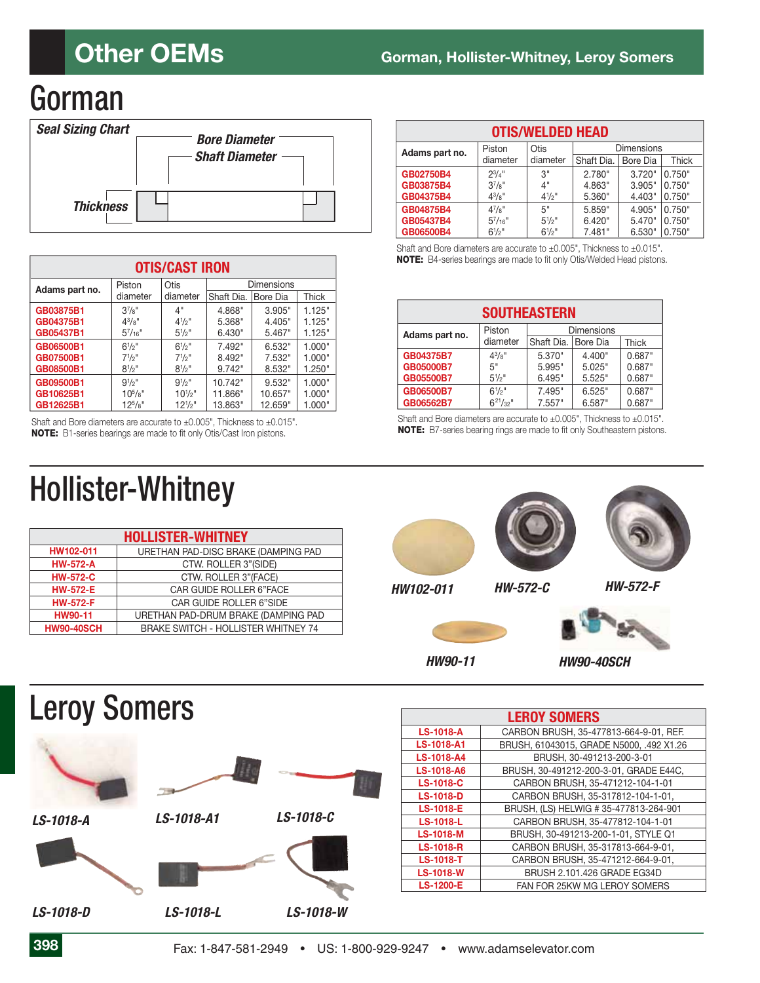## Gorman



| <b>OTIS/CAST IRON</b> |                 |                  |            |          |              |
|-----------------------|-----------------|------------------|------------|----------|--------------|
| Adams part no.        | Piston          | Otis             | Dimensions |          |              |
|                       | diameter        | diameter         | Shaft Dia. | Bore Dia | <b>Thick</b> |
| GB03875B1             | $3^{7}/8"$      | 4"               | 4.868"     | 3.905"   | 1.125"       |
| GB04375B1             | $4^{3}/8$ "     | $4^{1/2}$        | 5.368"     | 4.405"   | 1.125"       |
| GB05437B1             | $5^{7}/_{16}$ " | $5\frac{1}{2}$ " | 6.430"     | 5.467"   | 1.125"       |
| GB06500B1             | $6^{1/2}$ "     | $6^{1/2}$        | 7.492"     | 6.532"   | 1.000"       |
| GB07500B1             | $7^{1/2}$ "     | $7^{1/2}$ "      | 8.492"     | 7.532"   | 1.000"       |
| GB08500B1             | $8^{1/2}$ "     | $8^{1/2}$ "      | 9.742"     | 8.532"   | 1.250"       |
| GB09500B1             | $9^{1/2}$ "     | $9^{1/2}$        | 10.742"    | 9.532"   | 1.000"       |
| GB10625B1             | $10^{5}/s$ "    | $10^{1/2}$ "     | 11.866"    | 10.657"  | 1.000"       |
| GB12625B1             | $12^{5}/s$ "    | $12^{1/2}$ "     | 13.863"    | 12.659"  | 1.000"       |

Shaft and Bore diameters are accurate to ±0.005", Thickness to ±0.015". **NOTE:** B1-series bearings are made to fit only Otis/Cast Iron pistons.

| <b>Hollister-Whitney</b> |  |
|--------------------------|--|
|--------------------------|--|

| <b>HOLLISTER-WHITNEY</b> |                                            |  |
|--------------------------|--------------------------------------------|--|
| HW102-011                | URETHAN PAD-DISC BRAKE (DAMPING PAD        |  |
| <b>HW-572-A</b>          | CTW. ROLLER 3"(SIDE)                       |  |
| <b>HW-572-C</b>          | CTW. ROLLER 3"(FACE)                       |  |
| <b>HW-572-E</b>          | <b>CAR GUIDE ROLLER 6"FACE</b>             |  |
| <b>HW-572-F</b>          | <b>CAR GUIDE ROLLER 6"SIDE</b>             |  |
| HW90-11                  | URETHAN PAD-DRUM BRAKE (DAMPING PAD        |  |
| <b>HW90-40SCH</b>        | <b>BRAKE SWITCH - HOLLISTER WHITNEY 74</b> |  |

| <b>OTIS/WELDED HEAD</b>                               |                 |                  |            |          |        |
|-------------------------------------------------------|-----------------|------------------|------------|----------|--------|
| Otis<br><b>Dimensions</b><br>Piston<br>Adams part no. |                 |                  |            |          |        |
|                                                       | diameter        | diameter         | Shaft Dia. | Bore Dia | Thick  |
| GB02750B4                                             | $2^{3}/4$ "     | 3"               | 2.780"     | 3.720"   | 0.750" |
| GB03875B4                                             | $3^{7}/8"$      | 4"               | 4.863"     | 3.905"   | 0.750" |
| GB04375B4                                             | $4^{3}/8$ "     | $4\frac{1}{2}$ " | 5.360"     | 4.403"   | 0.750" |
| GB04875B4                                             | $4^{7}/8$ "     | 5"               | 5.859"     | 4.905"   | 0.750" |
| GB05437B4                                             | $5^{7}/_{16}$ " | $5\frac{1}{2}$ " | 6.420"     | 5.470"   | 0.750" |
| GB06500B4                                             | $6^{1/2}$ "     | $6\frac{1}{2}$ " | 7.481"     | 6.530"   | 0.750" |

Shaft and Bore diameters are accurate to ±0.005", Thickness to ±0.015". **NOTE:** B4-series bearings are made to fit only Otis/Welded Head pistons.

| <b>SOUTHEASTERN</b> |                  |                   |                 |              |
|---------------------|------------------|-------------------|-----------------|--------------|
| Adams part no.      | Piston           | <b>Dimensions</b> |                 |              |
|                     | diameter         | Shaft Dia.        | <b>Bore Dia</b> | <b>Thick</b> |
| GB04375B7           | $4^{3}/8$ "      | 5.370"            | 4.400"          | 0.687"       |
| GB05000B7           | 5"               | 5.995"            | 5.025"          | 0.687"       |
| <b>GB05500B7</b>    | $5\frac{1}{2}$ " | 6.495"            | 5.525"          | 0.687"       |
| GB06500B7           | $6^{1/2}$ "      | 7.495"            | 6.525"          | 0.687"       |
| GB06562B7           | $6^{21}/32$ "    | 7.557"            | 6.587"          | 0.687"       |

Shaft and Bore diameters are accurate to ±0.005", Thickness to ±0.015". **NOTE:** B7-series bearing rings are made to fit only Southeastern pistons.





|                   | <b>LEROY SOMERS</b>                      |
|-------------------|------------------------------------------|
| <b>LS-1018-A</b>  | CARBON BRUSH, 35-477813-664-9-01, REF.   |
| <b>LS-1018-A1</b> | BRUSH, 61043015, GRADE N5000, .492 X1.26 |
| LS-1018-A4        | BRUSH, 30-491213-200-3-01                |
| LS-1018-A6        | BRUSH, 30-491212-200-3-01, GRADE E44C,   |
| <b>LS-1018-C</b>  | CARBON BRUSH, 35-471212-104-1-01         |
| <b>LS-1018-D</b>  | CARBON BRUSH, 35-317812-104-1-01.        |
| <b>LS-1018-E</b>  | BRUSH, (LS) HELWIG # 35-477813-264-901   |
| <b>LS-1018-L</b>  | CARBON BRUSH, 35-477812-104-1-01         |
| <b>LS-1018-M</b>  | BRUSH, 30-491213-200-1-01, STYLE Q1      |
| <b>LS-1018-R</b>  | CARBON BRUSH, 35-317813-664-9-01,        |
| <b>LS-1018-T</b>  | CARBON BRUSH, 35-471212-664-9-01.        |
| <b>LS-1018-W</b>  | BRUSH 2.101.426 GRADE EG34D              |
| <b>LS-1200-E</b>  | FAN FOR 25KW MG LEROY SOMERS             |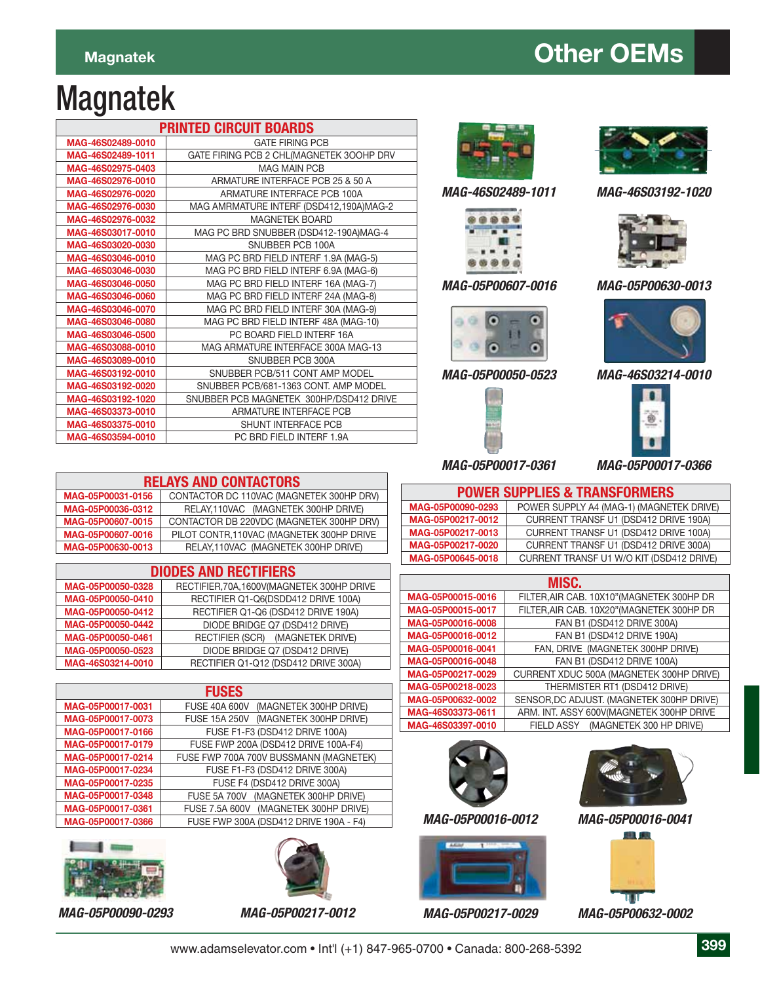### **Magnatek Magnatek CEMS**

# Magnatek

| <b>PRINTED CIRCUIT BOARDS</b> |                                          |  |
|-------------------------------|------------------------------------------|--|
| MAG-46S02489-0010             | <b>GATE FIRING PCB</b>                   |  |
| MAG-46S02489-1011             | GATE FIRING PCB 2 CHL(MAGNETEK 300HP DRV |  |
| MAG-46S02975-0403             | <b>MAG MAIN PCB</b>                      |  |
| MAG-46S02976-0010             | ARMATURE INTERFACE PCB 25 & 50 A         |  |
| MAG-46S02976-0020             | ARMATURE INTERFACE PCB 100A              |  |
| MAG-46S02976-0030             | MAG AMRMATURE INTERF (DSD412,190A)MAG-2  |  |
| MAG-46S02976-0032             | <b>MAGNETEK BOARD</b>                    |  |
| MAG-46S03017-0010             | MAG PC BRD SNUBBER (DSD412-190A)MAG-4    |  |
| MAG-46S03020-0030             | SNUBBER PCB 100A                         |  |
| MAG-46S03046-0010             | MAG PC BRD FIELD INTERF 1.9A (MAG-5)     |  |
| MAG-46S03046-0030             | MAG PC BRD FIELD INTERF 6.9A (MAG-6)     |  |
| MAG-46S03046-0050             | MAG PC BRD FIELD INTERF 16A (MAG-7)      |  |
| MAG-46S03046-0060             | MAG PC BRD FIELD INTERF 24A (MAG-8)      |  |
| MAG-46S03046-0070             | MAG PC BRD FIELD INTERF 30A (MAG-9)      |  |
| MAG-46S03046-0080             | MAG PC BRD FIELD INTERF 48A (MAG-10)     |  |
| MAG-46S03046-0500             | PC BOARD FIELD INTERF 16A                |  |
| MAG-46S03088-0010             | MAG ARMATURE INTERFACE 300A MAG-13       |  |
| MAG-46S03089-0010             | SNUBBER PCB 300A                         |  |
| MAG-46S03192-0010             | SNUBBER PCB/511 CONT AMP MODEL           |  |
| MAG-46S03192-0020             | SNUBBER PCB/681-1363 CONT. AMP MODEL     |  |
| MAG-46S03192-1020             | SNUBBER PCB MAGNETEK 300HP/DSD412 DRIVE  |  |
| MAG-46S03373-0010             | ARMATURE INTERFACE PCB                   |  |
| MAG-46S03375-0010             | <b>SHUNT INTERFACE PCB</b>               |  |
| MAG-46S03594-0010             | PC BRD FIELD INTERF 1.9A                 |  |



*MAG-46S02489-1011*



#### *MAG-05P00607-0016*



#### *MAG-05P00050-0523*





*MAG-46S03192-1020*



#### *MAG-05P00630-0013*



*MAG-46S03214-0010*



*MAG-05P00017-0366*

| <b>RELAYS AND CONTACTORS</b> |                                           |  |  |
|------------------------------|-------------------------------------------|--|--|
| MAG-05P00031-0156            | CONTACTOR DC 110VAC (MAGNETEK 300HP DRV)  |  |  |
| MAG-05P00036-0312            | RELAY, 110VAC (MAGNETEK 300HP DRIVE)      |  |  |
| MAG-05P00607-0015            | CONTACTOR DB 220VDC (MAGNETEK 300HP DRV)  |  |  |
| MAG-05P00607-0016            | PILOT CONTR, 110VAC (MAGNETEK 300HP DRIVE |  |  |
| MAG-05P00630-0013            | RELAY, 110VAC (MAGNETEK 300HP DRIVE)      |  |  |

| <b>DIODES AND RECTIFIERS</b> |                                            |  |
|------------------------------|--------------------------------------------|--|
| MAG-05P00050-0328            | RECTIFIER, 70A, 1600V(MAGNETEK 300HP DRIVE |  |
| MAG-05P00050-0410            | RECTIFIER Q1-Q6(DSDD412 DRIVE 100A)        |  |
| MAG-05P00050-0412            | RECTIFIER Q1-Q6 (DSD412 DRIVE 190A)        |  |
| MAG-05P00050-0442            | DIODE BRIDGE Q7 (DSD412 DRIVE)             |  |
| MAG-05P00050-0461            | RECTIFIER (SCR) (MAGNETEK DRIVE)           |  |
| MAG-05P00050-0523            | DIODE BRIDGE Q7 (DSD412 DRIVE)             |  |
| MAG-46S03214-0010            | RECTIFIER Q1-Q12 (DSD412 DRIVE 300A)       |  |

| <b>FUSES</b>      |                                                |  |
|-------------------|------------------------------------------------|--|
| MAG-05P00017-0031 | <b>FUSE 40A 600V</b><br>(MAGNETEK 300HP DRIVE) |  |
| MAG-05P00017-0073 | (MAGNETEK 300HP DRIVE)<br><b>FUSE 15A 250V</b> |  |
| MAG-05P00017-0166 | FUSE F1-F3 (DSD412 DRIVE 100A)                 |  |
| MAG-05P00017-0179 | FUSE FWP 200A (DSD412 DRIVE 100A-F4)           |  |
| MAG-05P00017-0214 | FUSE FWP 700A 700V BUSSMANN (MAGNETEK)         |  |
| MAG-05P00017-0234 | FUSE F1-F3 (DSD412 DRIVE 300A)                 |  |
| MAG-05P00017-0235 | FUSE F4 (DSD412 DRIVE 300A)                    |  |
| MAG-05P00017-0348 | (MAGNETEK 300HP DRIVE)<br><b>FUSE 5A 700V</b>  |  |
| MAG-05P00017-0361 | FUSE 7.5A 600V (MAGNETEK 300HP DRIVE)          |  |
| MAG-05P00017-0366 | FUSE FWP 300A (DSD412 DRIVE 190A - F4)         |  |







| <b>POWER SUPPLIES &amp; TRANSFORMERS</b> |                                          |  |
|------------------------------------------|------------------------------------------|--|
| MAG-05P00090-0293                        | POWER SUPPLY A4 (MAG-1) (MAGNETEK DRIVE) |  |
| MAG-05P00217-0012                        | CURRENT TRANSF U1 (DSD412 DRIVE 190A)    |  |
| MAG-05P00217-0013                        | CURRENT TRANSF U1 (DSD412 DRIVE 100A)    |  |
| MAG-05P00217-0020                        | CURRENT TRANSF U1 (DSD412 DRIVE 300A)    |  |
| MAG-05P00645-0018                        | CURRENT TRANSF U1 W/O KIT (DSD412 DRIVE) |  |

| MISC.             |                                            |  |
|-------------------|--------------------------------------------|--|
| MAG-05P00015-0016 | FILTER, AIR CAB. 10X10" (MAGNETEK 300HP DR |  |
| MAG-05P00015-0017 | FILTER, AIR CAB. 10X20" (MAGNETEK 300HP DR |  |
| MAG-05P00016-0008 | FAN B1 (DSD412 DRIVE 300A)                 |  |
| MAG-05P00016-0012 | FAN B1 (DSD412 DRIVE 190A)                 |  |
| MAG-05P00016-0041 | FAN, DRIVE (MAGNETEK 300HP DRIVE)          |  |
| MAG-05P00016-0048 | FAN B1 (DSD412 DRIVE 100A)                 |  |
| MAG-05P00217-0029 | CURRENT XDUC 500A (MAGNETEK 300HP DRIVE)   |  |
| MAG-05P00218-0023 | THERMISTER RT1 (DSD412 DRIVE)              |  |
| MAG-05P00632-0002 | SENSOR, DC ADJUST. (MAGNETEK 300HP DRIVE)  |  |
| MAG-46S03373-0611 | ARM. INT. ASSY 600V(MAGNETEK 300HP DRIVE   |  |
| MAG-46S03397-0010 | FIELD ASSY (MAGNETEK 300 HP DRIVE)         |  |



*MAG-05P00016-0012*





*MAG-05P00016-0041*



*MAG-05P00217-0029 MAG-05P00090-0293 MAG-05P00217-0012 MAG-05P00632-0002*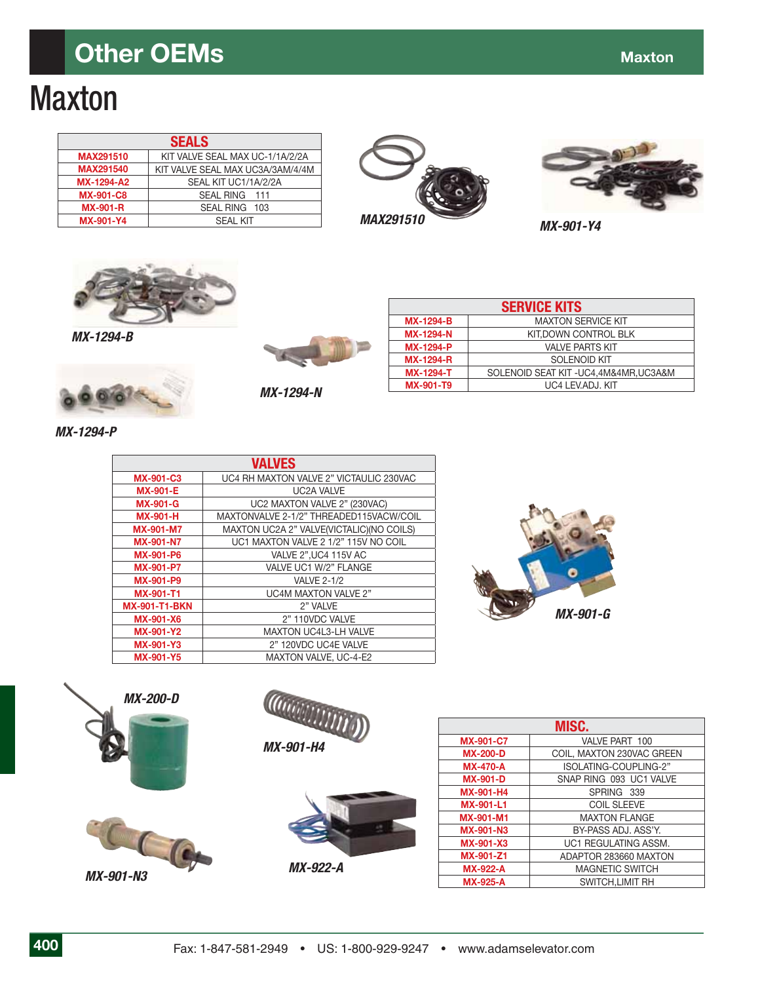### **Other OEMs** Maxton Communication and Communication Communication and Communication Communication and Communication Communication and Communication Communication and Communication Communication Communication Communication

# **Maxton**

| <b>SEALS</b>      |                                  |
|-------------------|----------------------------------|
| <b>MAX291510</b>  | KIT VALVE SEAL MAX UC-1/1A/2/2A  |
| <b>MAX291540</b>  | KIT VALVE SEAL MAX UC3A/3AM/4/4M |
| <b>MX-1294-A2</b> | SEAL KIT UC1/1A/2/2A             |
| <b>MX-901-C8</b>  | SEAL RING 111                    |
| <b>MX-901-R</b>   | SEAL RING 103                    |
| <b>MX-901-Y4</b>  | SFAI KIT                         |







*MX-1294-B*



*MX-1294-N*

| <b>MAXTON SERVICE KIT</b><br><b>MX-1294-B</b><br>KIT, DOWN CONTROL BLK<br><b>MX-1294-N</b><br><b>MX-1294-P</b><br><b>VALVE PARTS KIT</b><br><b>SOLENOID KIT</b><br><b>MX-1294-R</b><br>SOLENOID SEAT KIT-UC4,4M&4MR,UC3A&M<br><b>MX-1294-T</b><br><b>MX-901-T9</b><br>UC4 LEV.ADJ. KIT | <b>SERVICE KITS</b> |  |  |
|----------------------------------------------------------------------------------------------------------------------------------------------------------------------------------------------------------------------------------------------------------------------------------------|---------------------|--|--|
|                                                                                                                                                                                                                                                                                        |                     |  |  |
|                                                                                                                                                                                                                                                                                        |                     |  |  |
|                                                                                                                                                                                                                                                                                        |                     |  |  |
|                                                                                                                                                                                                                                                                                        |                     |  |  |
|                                                                                                                                                                                                                                                                                        |                     |  |  |
|                                                                                                                                                                                                                                                                                        |                     |  |  |

*MX-1294-P*

|                      | <b>VALVES</b>                            |
|----------------------|------------------------------------------|
| <b>MX-901-C3</b>     | UC4 RH MAXTON VALVE 2" VICTAULIC 230VAC  |
| <b>MX-901-E</b>      | <b>UC2A VALVE</b>                        |
| <b>MX-901-G</b>      | UC2 MAXTON VALVE 2" (230VAC)             |
| <b>MX-901-H</b>      | MAXTONVALVE 2-1/2" THREADED115VACW/COIL  |
| <b>MX-901-M7</b>     | MAXTON UC2A 2" VALVE(VICTALIC)(NO COILS) |
| <b>MX-901-N7</b>     | UC1 MAXTON VALVE 2 1/2" 115V NO COIL     |
| <b>MX-901-P6</b>     | VALVE 2", UC4 115V AC                    |
| <b>MX-901-P7</b>     | VALVE UC1 W/2" FLANGE                    |
| <b>MX-901-P9</b>     | <b>VALVE 2-1/2</b>                       |
| <b>MX-901-T1</b>     | <b>UC4M MAXTON VALVE 2"</b>              |
| <b>MX-901-T1-BKN</b> | 2" VALVE                                 |
| <b>MX-901-X6</b>     | 2" 110VDC VALVE                          |
| <b>MX-901-Y2</b>     | <b>MAXTON UC4L3-LH VALVE</b>             |
| <b>MX-901-Y3</b>     | 2" 120VDC UC4E VALVE                     |
| <b>MX-901-Y5</b>     | MAXTON VALVE, UC-4-E2                    |









| MISC.            |                           |
|------------------|---------------------------|
| <b>MX-901-C7</b> | VALVE PART 100            |
| <b>MX-200-D</b>  | COIL, MAXTON 230VAC GREEN |
| <b>MX-470-A</b>  | ISOLATING-COUPLING-2"     |
| <b>MX-901-D</b>  | SNAP RING 093 UC1 VALVE   |
| <b>MX-901-H4</b> | SPRING 339                |
| <b>MX-901-L1</b> | <b>COIL SLEEVE</b>        |
| <b>MX-901-M1</b> | <b>MAXTON FLANGE</b>      |
| <b>MX-901-N3</b> | BY-PASS ADJ, ASS'Y.       |
| <b>MX-901-X3</b> | UC1 REGULATING ASSM.      |
| MX-901-Z1        | ADAPTOR 283660 MAXTON     |
| <b>MX-922-A</b>  | <b>MAGNETIC SWITCH</b>    |
| <b>MX-925-A</b>  | SWITCH, LIMIT RH          |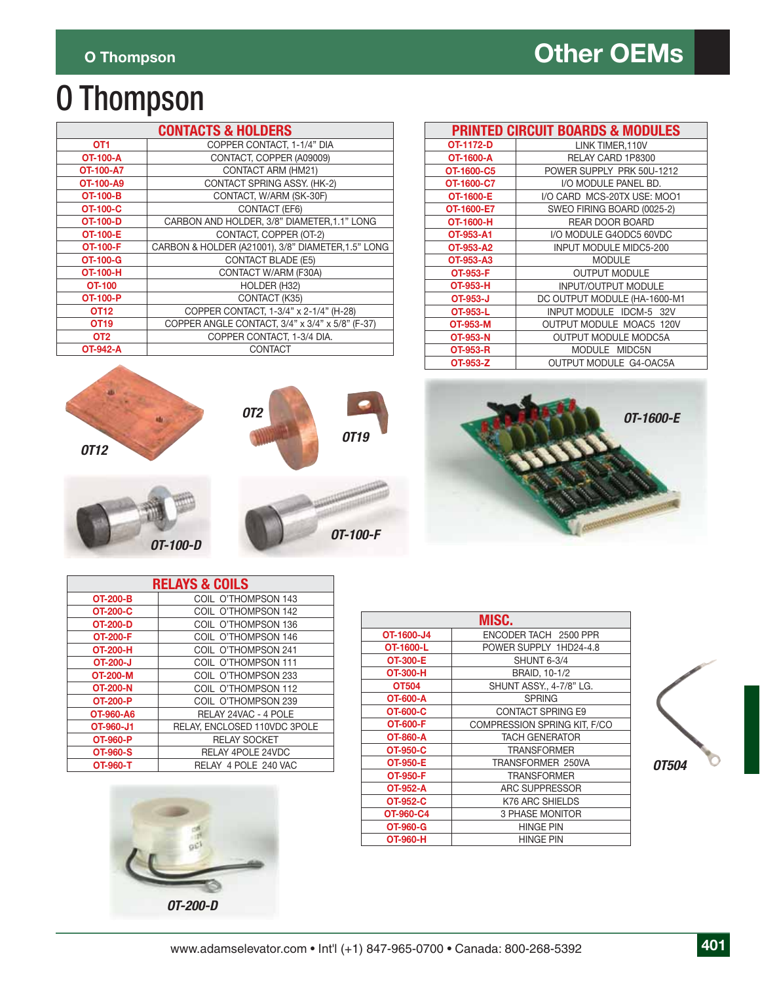# O Thompson

|                  | <b>CONTACTS &amp; HOLDERS</b>                      |
|------------------|----------------------------------------------------|
| OT1              | COPPER CONTACT. 1-1/4" DIA                         |
| <b>OT-100-A</b>  | CONTACT, COPPER (A09009)                           |
| <b>OT-100-A7</b> | CONTACT ARM (HM21)                                 |
| OT-100-A9        | CONTACT SPRING ASSY. (HK-2)                        |
| <b>OT-100-B</b>  | CONTACT, W/ARM (SK-30F)                            |
| OT-100-C         | <b>CONTACT (EF6)</b>                               |
| <b>OT-100-D</b>  | CARBON AND HOLDER, 3/8" DIAMETER, 1.1" LONG        |
| <b>OT-100-E</b>  | CONTACT, COPPER (OT-2)                             |
| <b>OT-100-F</b>  | CARBON & HOLDER (A21001), 3/8" DIAMETER, 1.5" LONG |
| <b>OT-100-G</b>  | <b>CONTACT BLADE (E5)</b>                          |
| <b>OT-100-H</b>  | CONTACT W/ARM (F30A)                               |
| <b>OT-100</b>    | HOLDER (H32)                                       |
| <b>OT-100-P</b>  | CONTACT (K35)                                      |
| OT <sub>12</sub> | COPPER CONTACT, 1-3/4" x 2-1/4" (H-28)             |
| OT <sub>19</sub> | COPPER ANGLE CONTACT, 3/4" x 3/4" x 5/8" (F-37)    |
| OT <sub>2</sub>  | COPPER CONTACT, 1-3/4 DIA.                         |
| <b>OT-942-A</b>  | <b>CONTACT</b>                                     |

| <b>PRINTED CIRCUIT BOARDS &amp; MODULES</b> |                                 |  |
|---------------------------------------------|---------------------------------|--|
| OT-1172-D                                   | LINK TIMER.110V                 |  |
| OT-1600-A                                   | RELAY CARD 1P8300               |  |
| OT-1600-C5                                  | POWER SUPPLY PRK 50U-1212       |  |
| OT-1600-C7                                  | I/O MODULE PANEL BD.            |  |
| OT-1600-E                                   | I/O CARD MCS-20TX USE: MOO1     |  |
| OT-1600-E7                                  | SWEO FIRING BOARD (0025-2)      |  |
| OT-1600-H                                   | <b>REAR DOOR BOARD</b>          |  |
| OT-953-A1                                   | I/O MODULE G4ODC5 60VDC         |  |
| OT-953-A2                                   | <b>INPUT MODULE MIDC5-200</b>   |  |
| OT-953-A3                                   | <b>MODULE</b>                   |  |
| OT-953-F                                    | <b>OUTPUT MODULE</b>            |  |
| OT-953-H                                    | <b>INPUT/OUTPUT MODULE</b>      |  |
| OT-953-J                                    | DC OUTPUT MODULE (HA-1600-M1    |  |
| OT-953-L                                    | INPUT MODULE IDCM-5 32V         |  |
| OT-953-M                                    | <b>OUTPUT MODULE MOAC5 120V</b> |  |
| <b>OT-953-N</b>                             | <b>OUTPUT MODULE MODC5A</b>     |  |
| <b>OT-953-R</b>                             | MODULE MIDC5N                   |  |
| OT-953-Z                                    | OUTPUT MODULE G4-OAC5A          |  |





| <b>RELAYS &amp; COILS</b> |                              |
|---------------------------|------------------------------|
| <b>OT-200-B</b>           | COIL O'THOMPSON 143          |
| <b>OT-200-C</b>           | COIL O'THOMPSON 142          |
| <b>OT-200-D</b>           | COIL O'THOMPSON 136          |
| <b>OT-200-F</b>           | COIL O'THOMPSON 146          |
| OT-200-H                  | COIL O'THOMPSON 241          |
| OT-200-J                  | COIL O'THOMPSON 111          |
| <b>OT-200-M</b>           | COIL O'THOMPSON 233          |
| <b>OT-200-N</b>           | COIL O'THOMPSON 112          |
| <b>OT-200-P</b>           | COIL O'THOMPSON 239          |
| OT-960-A6                 | RELAY 24VAC - 4 POLE         |
| OT-960-J1                 | RELAY. ENCLOSED 110VDC 3POLE |
| OT-960-P                  | <b>RELAY SOCKET</b>          |
| <b>OT-960-S</b>           | RELAY 4POLE 24VDC            |
| <b>OT-960-T</b>           | RELAY 4 POLE 240 VAC         |



| MISC.           |                              |
|-----------------|------------------------------|
| OT-1600-J4      | ENCODER TACH 2500 PPR        |
| OT-1600-L       | POWER SUPPLY 1HD24-4.8       |
| <b>OT-300-E</b> | <b>SHUNT 6-3/4</b>           |
| <b>OT-300-H</b> | BRAID, 10-1/2                |
| OT504           | SHUNT ASSY., 4-7/8" LG.      |
| <b>OT-600-A</b> | <b>SPRING</b>                |
| OT-600-C        | <b>CONTACT SPRING E9</b>     |
| <b>OT-600-F</b> | COMPRESSION SPRING KIT. F/CO |
| OT-860-A        | <b>TACH GENERATOR</b>        |
| OT-950-C        | <b>TRANSFORMER</b>           |
| OT-950-E        | TRANSFORMER 250VA            |
| OT-950-F        | <b>TRANSFORMER</b>           |
| OT-952-A        | ARC SUPPRESSOR               |
| OT-952-C        | K76 ARC SHIELDS              |
| OT-960-C4       | <b>3 PHASE MONITOR</b>       |
| OT-960-G        | <b>HINGE PIN</b>             |
| OT-960-H        | <b>HINGE PIN</b>             |

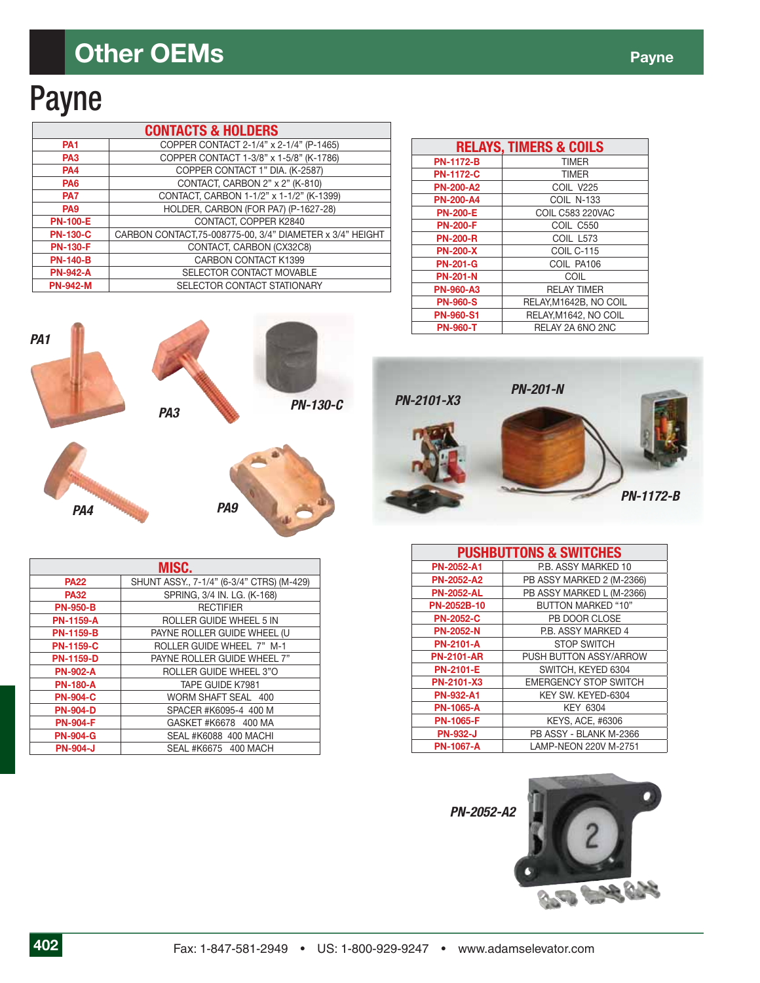# Payne

*PA4*

| <b>CONTACTS &amp; HOLDERS</b> |                                                           |
|-------------------------------|-----------------------------------------------------------|
| <b>PA1</b>                    | COPPER CONTACT 2-1/4" x 2-1/4" (P-1465)                   |
| PA <sub>3</sub>               | COPPER CONTACT 1-3/8" x 1-5/8" (K-1786)                   |
| <b>PA4</b>                    | COPPER CONTACT 1" DIA. (K-2587)                           |
| <b>PA6</b>                    | CONTACT, CARBON 2" x 2" (K-810)                           |
| <b>PA7</b>                    | CONTACT, CARBON 1-1/2" x 1-1/2" (K-1399)                  |
| PA <sub>9</sub>               | HOLDER, CARBON (FOR PA7) (P-1627-28)                      |
| <b>PN-100-E</b>               | CONTACT, COPPER K2840                                     |
| <b>PN-130-C</b>               | CARBON CONTACT, 75-008775-00, 3/4" DIAMETER x 3/4" HEIGHT |
| <b>PN-130-F</b>               | CONTACT, CARBON (CX32C8)                                  |
| <b>PN-140-B</b>               | CARBON CONTACT K1399                                      |
| <b>PN-942-A</b>               | SELECTOR CONTACT MOVABLE                                  |
| <b>PN-942-M</b>               | SELECTOR CONTACT STATIONARY                               |

| <b>RELAYS, TIMERS &amp; COILS</b> |                         |
|-----------------------------------|-------------------------|
| <b>PN-1172-B</b>                  | <b>TIMER</b>            |
| <b>PN-1172-C</b>                  | <b>TIMER</b>            |
| <b>PN-200-A2</b>                  | COIL V225               |
| <b>PN-200-A4</b>                  | <b>COIL N-133</b>       |
| <b>PN-200-E</b>                   | <b>COIL C583 220VAC</b> |
| <b>PN-200-F</b>                   | COIL C550               |
| <b>PN-200-R</b>                   | COIL L573               |
| <b>PN-200-X</b>                   | COIL C-115              |
| <b>PN-201-G</b>                   | COIL PA106              |
| <b>PN-201-N</b>                   | COIL                    |
| <b>PN-960-A3</b>                  | <b>RELAY TIMER</b>      |
| <b>PN-960-S</b>                   | RELAY.M1642B. NO COIL   |
| <b>PN-960-S1</b>                  | RELAY.M1642, NO COIL    |
| <b>PN-960-T</b>                   | RELAY 2A 6NO 2NC        |





| MISC.            |                                           |
|------------------|-------------------------------------------|
| <b>PA22</b>      | SHUNT ASSY., 7-1/4" (6-3/4" CTRS) (M-429) |
| <b>PA32</b>      | SPRING, 3/4 IN. LG. (K-168)               |
| <b>PN-950-B</b>  | <b>RECTIFIER</b>                          |
| <b>PN-1159-A</b> | <b>ROLLER GUIDE WHEEL 5 IN</b>            |
| <b>PN-1159-B</b> | PAYNE ROLLER GUIDE WHEEL (U               |
| <b>PN-1159-C</b> | ROLLER GUIDE WHEEL 7" M-1                 |
| <b>PN-1159-D</b> | PAYNE ROLLER GUIDE WHEEL 7"               |
| <b>PN-902-A</b>  | ROLLER GUIDE WHEEL 3"O                    |
| <b>PN-180-A</b>  | TAPE GUIDE K7981                          |
| <b>PN-904-C</b>  | WORM SHAFT SEAL 400                       |
| <b>PN-904-D</b>  | SPACER #K6095-4 400 M                     |
| <b>PN-904-F</b>  | GASKET #K6678 400 MA                      |
| <b>PN-904-G</b>  | SEAL #K6088 400 MACHI                     |
| <b>PN-904-J</b>  | SEAL #K6675 400 MACH                      |





| <b>PUSHBUTTONS &amp; SWITCHES</b> |                              |  |
|-----------------------------------|------------------------------|--|
| <b>PN-2052-A1</b>                 | P.B. ASSY MARKED 10          |  |
| <b>PN-2052-A2</b>                 | PB ASSY MARKED 2 (M-2366)    |  |
| <b>PN-2052-AL</b>                 | PB ASSY MARKED L (M-2366)    |  |
| PN-2052B-10                       | <b>BUTTON MARKED "10"</b>    |  |
| <b>PN-2052-C</b>                  | PB DOOR CLOSE                |  |
| <b>PN-2052-N</b>                  | P.B. ASSY MARKED 4           |  |
| <b>PN-2101-A</b>                  | <b>STOP SWITCH</b>           |  |
| <b>PN-2101-AR</b>                 | PUSH BUTTON ASSY/ARROW       |  |
| <b>PN-2101-E</b>                  | SWITCH, KEYED 6304           |  |
| PN-2101-X3                        | <b>EMERGENCY STOP SWITCH</b> |  |
| <b>PN-932-A1</b>                  | KEY SW. KEYED-6304           |  |
| <b>PN-1065-A</b>                  | KEY 6304                     |  |
| <b>PN-1065-F</b>                  | KEYS, ACE, #6306             |  |
| <b>PN-932-J</b>                   | PB ASSY - BLANK M-2366       |  |
| <b>PN-1067-A</b>                  | LAMP-NEON 220V M-2751        |  |

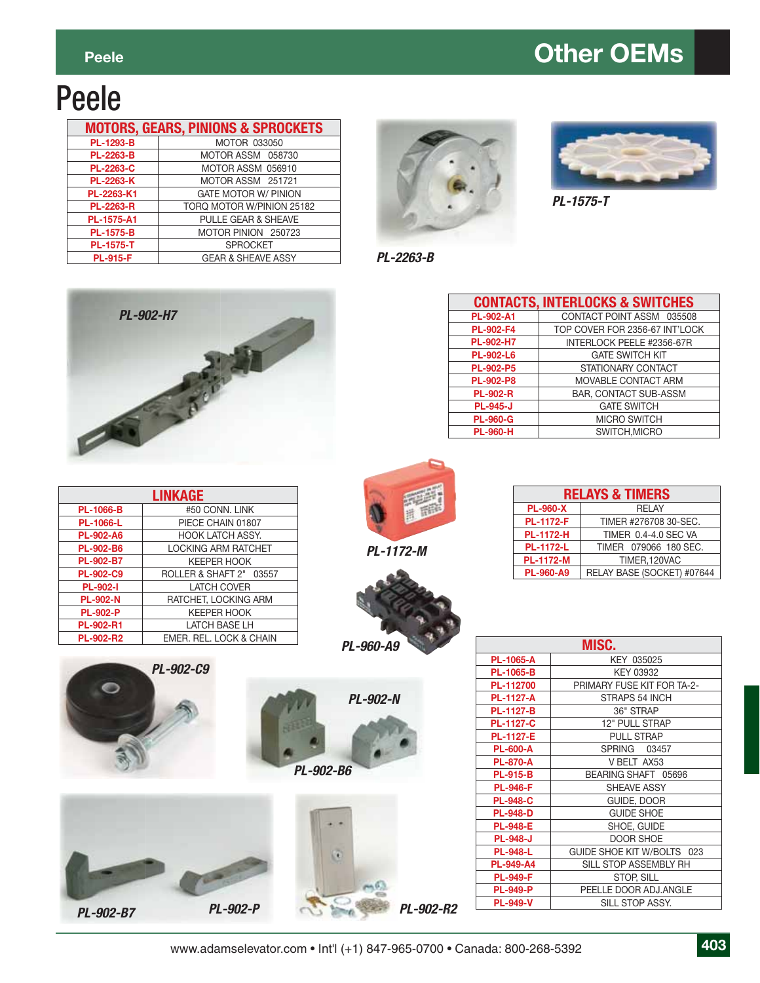#### **Peele Contract Contract Contract Contract Contract Contract Contract Contract Contract Contract Contract Contract Contract Contract Contract Contract Contract Contract Contract Contract Contract Contract Contract Contra**

# Peele

|                  | <b>MOTORS, GEARS, PINIONS &amp; SPROCKETS</b> |
|------------------|-----------------------------------------------|
| PL-1293-B        | <b>MOTOR 033050</b>                           |
| <b>PL-2263-B</b> | MOTOR ASSM 058730                             |
| <b>PL-2263-C</b> | MOTOR ASSM 056910                             |
| <b>PL-2263-K</b> | MOTOR ASSM 251721                             |
| PL-2263-K1       | <b>GATE MOTOR W/ PINION</b>                   |
| <b>PL-2263-R</b> | TORQ MOTOR W/PINION 25182                     |
| PL-1575-A1       | PULLE GEAR & SHEAVE                           |
| <b>PL-1575-B</b> | MOTOR PINION 250723                           |
| <b>PL-1575-T</b> | <b>SPROCKET</b>                               |
| <b>PL-915-F</b>  | <b>GEAR &amp; SHEAVE ASSY</b>                 |





**GATE SWITCH KIT** 

**MICRO SWITCH SWITCH,MICRO** 

*PL-1575-T* 

**CONTACTS, INTERLOCKS & SWITCHES** PL-902-A1 **CONTACT POINT ASSM 035508 PL-902-F4** TOP COVER FOR 2356-67 INT'LOCK **PL-902-H7** INTERLOCK PEELE #2356-67R<br> **PL-902-L6** GATE SWITCH KIT

**PL-902-P5** STATIONARY CONTACT **PL-902-P8** MOVABLE CONTACT ARM **PL-902-R** BAR, CONTACT SUB-ASSM

**PL-945-J GATE SWITCH**<br> **PL-960-G** MICRO SWITCH<br> **PL-960-H** SWITCH,MICRO



| <b>LINKAGE</b>   |                            |  |  |  |
|------------------|----------------------------|--|--|--|
| <b>PL-1066-B</b> | #50 CONN, LINK             |  |  |  |
| <b>PL-1066-L</b> | PIECE CHAIN 01807          |  |  |  |
| <b>PL-902-A6</b> | <b>HOOK LATCH ASSY.</b>    |  |  |  |
| <b>PL-902-B6</b> | <b>LOCKING ARM RATCHET</b> |  |  |  |
| PL-902-B7        | <b>KEEPER HOOK</b>         |  |  |  |
| PL-902-C9        | ROLLER & SHAFT 2" 03557    |  |  |  |
| <b>PL-902-I</b>  | <b>LATCH COVER</b>         |  |  |  |
| <b>PL-902-N</b>  | RATCHET, LOCKING ARM       |  |  |  |
| <b>PL-902-P</b>  | <b>KEEPER HOOK</b>         |  |  |  |
| <b>PL-902-R1</b> | <b>LATCH BASE LH</b>       |  |  |  |
| <b>PL-902-R2</b> | EMER, REL. LOCK & CHAIN    |  |  |  |



*PL-2263-B* 

*PL-1172-M* 





| MISC.            |                            |  |  |
|------------------|----------------------------|--|--|
| <b>PL-1065-A</b> | KEY 035025                 |  |  |
| <b>PL-1065-B</b> | KEY 03932                  |  |  |
| PL-112700        | PRIMARY FUSE KIT FOR TA-2- |  |  |
| <b>PL-1127-A</b> | STRAPS 54 INCH             |  |  |
| <b>PL-1127-B</b> | 36" STRAP                  |  |  |
| <b>PL-1127-C</b> | <b>12" PULL STRAP</b>      |  |  |
| <b>PL-1127-E</b> | PULL STRAP                 |  |  |
| <b>PL-600-A</b>  | SPRING 03457               |  |  |
| <b>PL-870-A</b>  | V BELT AX53                |  |  |
| <b>PL-915-B</b>  | BEARING SHAFT 05696        |  |  |
| <b>PL-946-F</b>  | SHEAVE ASSY                |  |  |
| <b>PL-948-C</b>  | GUIDE, DOOR                |  |  |
| <b>PL-948-D</b>  | <b>GUIDE SHOE</b>          |  |  |
| <b>PL-948-E</b>  | SHOE, GUIDE                |  |  |
| <b>PL-948-J</b>  | <b>DOOR SHOE</b>           |  |  |
| <b>PL-948-L</b>  | GUIDE SHOE KIT W/BOLTS 023 |  |  |
| <b>PL-949-A4</b> | SILL STOP ASSEMBLY RH      |  |  |
| <b>PL-949-F</b>  | STOP, SILL                 |  |  |
| <b>PL-949-P</b>  | PEELLE DOOR ADJ.ANGLE      |  |  |
| <b>PL-949-V</b>  | SILL STOP ASSY.            |  |  |





*PL-902-R2* **Silver** N

| _____<br>the property of the con- |  |
|-----------------------------------|--|
|                                   |  |
|                                   |  |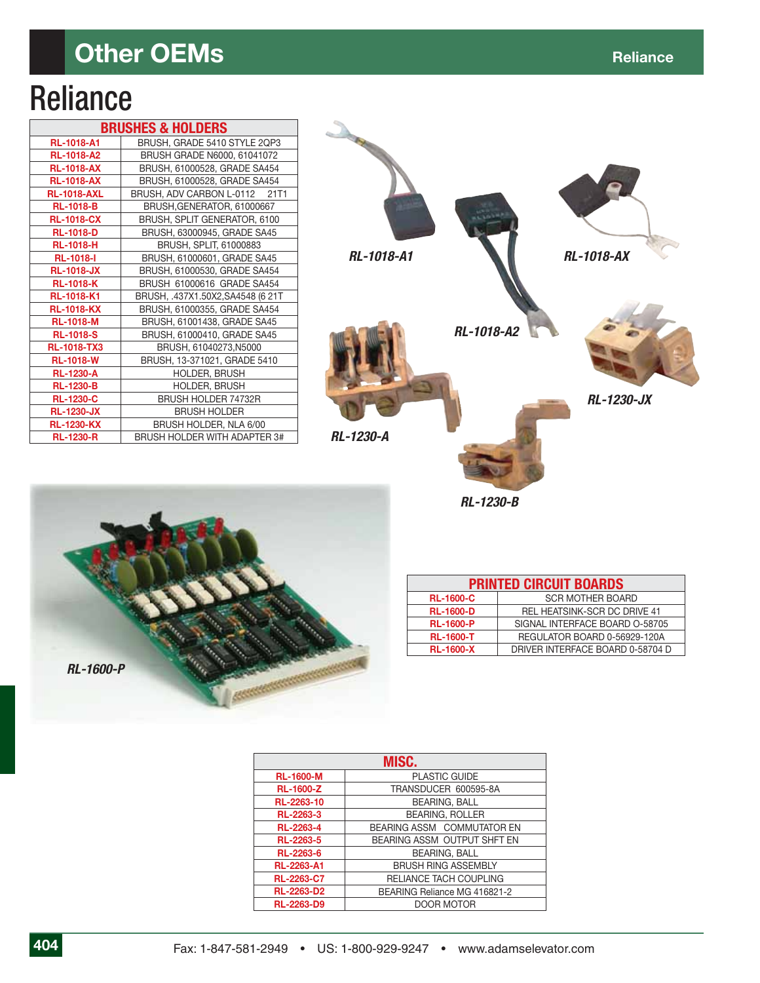### **Other OEMs Reliance Reliance**

# **Reliance**

| <b>BRUSHES &amp; HOLDERS</b> |                                     |  |  |  |
|------------------------------|-------------------------------------|--|--|--|
| <b>RL-1018-A1</b>            | BRUSH, GRADE 5410 STYLE 2QP3        |  |  |  |
| <b>RL-1018-A2</b>            | BRUSH GRADE N6000, 61041072         |  |  |  |
| <b>RL-1018-AX</b>            | BRUSH, 61000528, GRADE SA454        |  |  |  |
| <b>RL-1018-AX</b>            | BRUSH, 61000528, GRADE SA454        |  |  |  |
| <b>RL-1018-AXL</b>           | BRUSH, ADV CARBON L-0112 21T1       |  |  |  |
| <b>RL-1018-B</b>             | BRUSH, GENERATOR, 61000667          |  |  |  |
| <b>RL-1018-CX</b>            | BRUSH, SPLIT GENERATOR, 6100        |  |  |  |
| <b>RL-1018-D</b>             | BRUSH, 63000945, GRADE SA45         |  |  |  |
| <b>RL-1018-H</b>             | BRUSH, SPLIT, 61000883              |  |  |  |
| <b>RL-1018-I</b>             | BRUSH, 61000601, GRADE SA45         |  |  |  |
| <b>RL-1018-JX</b>            | BRUSH, 61000530, GRADE SA454        |  |  |  |
| <b>RL-1018-K</b>             | BRUSH 61000616 GRADE SA454          |  |  |  |
| <b>RL-1018-K1</b>            | BRUSH, .437X1.50X2,SA4548 (6 21T    |  |  |  |
| <b>RL-1018-KX</b>            | BRUSH, 61000355, GRADE SA454        |  |  |  |
| <b>RL-1018-M</b>             | BRUSH, 61001438, GRADE SA45         |  |  |  |
| <b>RL-1018-S</b>             | BRUSH, 61000410, GRADE SA45         |  |  |  |
| <b>RL-1018-TX3</b>           | BRUSH, 61040273, N5000              |  |  |  |
| <b>RL-1018-W</b>             | BRUSH, 13-371021, GRADE 5410        |  |  |  |
| <b>RL-1230-A</b>             | <b>HOLDER, BRUSH</b>                |  |  |  |
| <b>RL-1230-B</b>             | <b>HOLDER, BRUSH</b>                |  |  |  |
| <b>RL-1230-C</b>             | <b>BRUSH HOLDER 74732R</b>          |  |  |  |
| <b>RL-1230-JX</b>            | <b>BRUSH HOLDER</b>                 |  |  |  |
| <b>RL-1230-KX</b>            | BRUSH HOLDER, NLA 6/00              |  |  |  |
| <b>RL-1230-R</b>             | <b>BRUSH HOLDER WITH ADAPTER 3#</b> |  |  |  |



*RL-1230-B* 



| <b>PRINTED CIRCUIT BOARDS</b> |                                     |  |  |
|-------------------------------|-------------------------------------|--|--|
| <b>RL-1600-C</b>              | <b>SCR MOTHER BOARD</b>             |  |  |
| <b>RL-1600-D</b>              | <b>REL HEATSINK-SCR DC DRIVE 41</b> |  |  |
| <b>RL-1600-P</b>              | SIGNAL INTERFACE BOARD O-58705      |  |  |
| <b>RL-1600-T</b>              | REGULATOR BOARD 0-56929-120A        |  |  |
| <b>RL-1600-X</b>              | DRIVER INTERFACE BOARD 0-58704 D    |  |  |

| MISC.             |                              |  |  |  |
|-------------------|------------------------------|--|--|--|
| <b>RL-1600-M</b>  | <b>PLASTIC GUIDE</b>         |  |  |  |
| <b>RL-1600-Z</b>  | TRANSDUCER 600595-8A         |  |  |  |
| RL-2263-10        | <b>BEARING, BALL</b>         |  |  |  |
| RL-2263-3         | <b>BEARING, ROLLER</b>       |  |  |  |
| RL-2263-4         | BEARING ASSM COMMUTATOR EN   |  |  |  |
| RL-2263-5         | BEARING ASSM OUTPUT SHFT EN  |  |  |  |
| RL-2263-6         | <b>BEARING, BALL</b>         |  |  |  |
| <b>RL-2263-A1</b> | <b>BRUSH RING ASSEMBLY</b>   |  |  |  |
| <b>RL-2263-C7</b> | RELIANCE TACH COUPLING       |  |  |  |
| <b>RL-2263-D2</b> | BEARING Reliance MG 416821-2 |  |  |  |
| <b>RL-2263-D9</b> | DOOR MOTOR                   |  |  |  |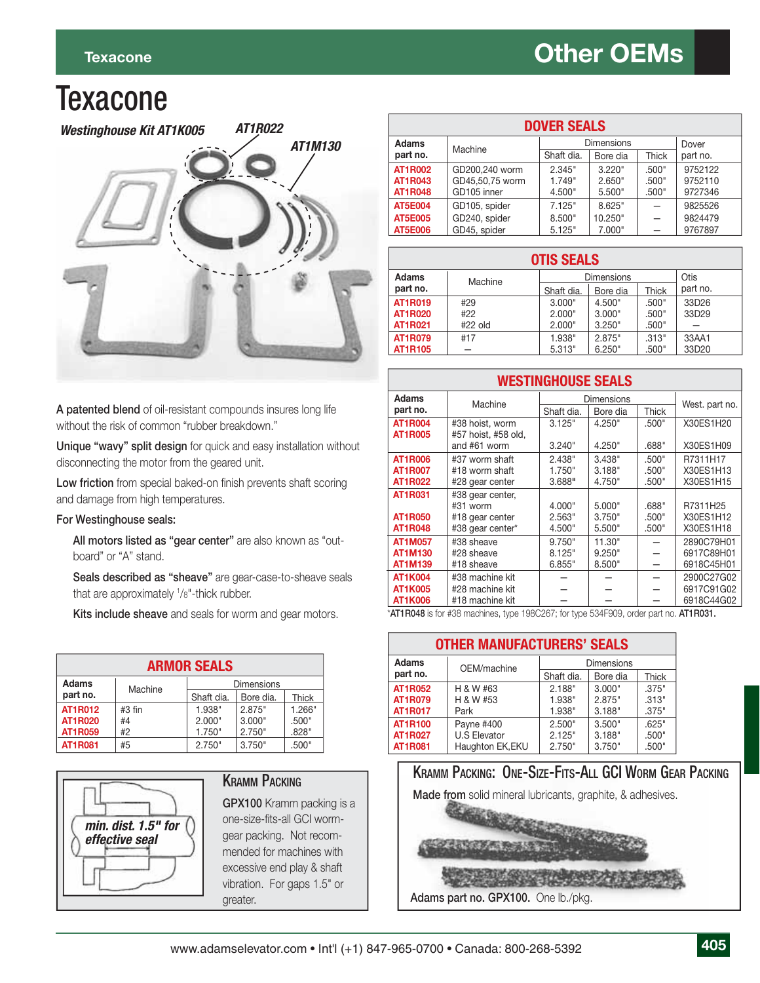### **Texacone**



**A patented blend** of oil-resistant compounds insures long life without the risk of common "rubber breakdown."

**Unique "wavy" split design** for quick and easy installation without disconnecting the motor from the geared unit.

Low friction from special baked-on finish prevents shaft scoring and damage from high temperatures.

#### **For Westinghouse seals:**

**All motors listed as "gear center"** are also known as "outboard" or "A" stand.

**Seals described as "sheave"** are gear-case-to-sheave seals that are approximately 1 /8"-thick rubber.

**Kits include sheave** and seals for worm and gear motors.

| <b>ARMOR SEALS</b>                           |        |                  |           |        |  |
|----------------------------------------------|--------|------------------|-----------|--------|--|
| <b>Adams</b><br><b>Dimensions</b><br>Machine |        |                  |           |        |  |
| part no.                                     |        | Shaft dia.       | Bore dia. | Thick  |  |
| <b>AT1R012</b>                               | #3 fin | 2.875"<br>1.938" |           | 1.266" |  |
| <b>AT1R020</b>                               | #4     | 2.000"           | 3.000"    | .500"  |  |
| <b>AT1R059</b>                               | #2     | 1.750"           | 2.750"    | .828"  |  |
| <b>AT1R081</b>                               | #5     | 2.750"           | 3.750"    | .500"  |  |



#### **KRAMM PACKING**

**GPX100** Kramm packing is a one-size-fits-all GCI wormgear packing. Not recommended for machines with excessive end play & shaft vibration. For gaps 1.5" or greater.

| <b>DOVER SEALS</b>               |                                |                  |                   |                |                    |
|----------------------------------|--------------------------------|------------------|-------------------|----------------|--------------------|
| <b>Adams</b>                     | Machine                        |                  | <b>Dimensions</b> |                | Dover              |
| part no.                         |                                | Shaft dia.       | Bore dia          | <b>Thick</b>   | part no.           |
| <b>AT1R002</b>                   | GD200.240 worm                 | 2.345"           | 3.220"            | .500"          | 9752122            |
| <b>AT1R043</b><br><b>AT1R048</b> | GD45.50.75 worm<br>GD105 inner | 1.749"<br>4.500" | 2.650"<br>5.500"  | .500"<br>.500" | 9752110<br>9727346 |
| <b>AT5E004</b>                   | GD105, spider                  | 7.125"           | 8.625"            |                | 9825526            |
| <b>AT5E005</b>                   | GD240, spider                  | 8.500"           | 10.250"           |                | 9824479            |
| <b>AT5E006</b>                   | GD45, spider                   | 5.125"           | 7.000"            |                | 9767897            |

#### **OTIS SEALS**

| Adams<br>part no. | Machine | <b>Dimensions</b> |          |       | Otis<br>part no. |
|-------------------|---------|-------------------|----------|-------|------------------|
|                   |         | Shaft dia.        | Bore dia | Thick |                  |
| <b>AT1R019</b>    | #29     | 3.000"            | 4.500"   | .500" | 33D26            |
| <b>AT1R020</b>    | #22     | 2.000"            | 3.000"   | .500" | 33D29            |
| <b>AT1R021</b>    | #22 old | 2.000"            | 3.250"   | .500" |                  |
| <b>AT1R079</b>    | #17     | 1.938"            | 2.875"   | .313" | 33AA1            |
| <b>AT1R105</b>    |         | 5.313"            | 6.250"   | .500" | 33D20            |

**WESTINGHOUSE SEALS**

| WESTINGHUUSE SEALS |                     |            |                   |              |                |
|--------------------|---------------------|------------|-------------------|--------------|----------------|
| <b>Adams</b>       | Machine             |            | <b>Dimensions</b> |              |                |
| part no.           |                     | Shaft dia. | Bore dia          | <b>Thick</b> | West. part no. |
| <b>AT1R004</b>     | #38 hoist, worm     | 3.125"     | 4.250"            | .500"        | X30ES1H20      |
| <b>AT1R005</b>     | #57 hoist, #58 old, |            |                   |              |                |
|                    | and #61 worm        | 3.240"     | 4.250"            | .688"        | X30ES1H09      |
| <b>AT1R006</b>     | #37 worm shaft      | 2.438"     | 3.438"            | .500"        | R7311H17       |
| <b>AT1R007</b>     | #18 worm shaft      | 1.750"     | 3.188"            | .500"        | X30ES1H13      |
| <b>AT1R022</b>     | #28 gear center     | 3.688"     | 4.750"            | .500"        | X30ES1H15      |
| <b>AT1R031</b>     | #38 gear center,    |            |                   |              |                |
|                    | #31 worm            | 4.000"     | 5.000"            | .688"        | R7311H25       |
| <b>AT1R050</b>     | #18 gear center     | 2.563"     | 3.750"            | .500"        | X30ES1H12      |
| <b>AT1R048</b>     | #38 gear center*    | 4.500"     | 5.500"            | .500"        | X30ES1H18      |
| <b>AT1M057</b>     | #38 sheave          | 9.750"     | 11.30"            |              | 2890C79H01     |
| <b>AT1M130</b>     | #28 sheave          | 8.125"     | 9.250"            |              | 6917C89H01     |
| <b>AT1M139</b>     | #18 sheave          | 6.855"     | 8.500"            |              | 6918C45H01     |
| <b>AT1K004</b>     | #38 machine kit     |            |                   |              | 2900C27G02     |
| AT1K005            | #28 machine kit     |            |                   |              | 6917C91G02     |
| AT1K006            | #18 machine kit     |            |                   |              | 6918C44G02     |

\***AT1R048** is for #38 machines, type 198C267; for type 534F909, order part no. **AT1R031.**

| <b>OTHER MANUFACTURERS' SEALS</b> |                                  |            |          |       |  |  |
|-----------------------------------|----------------------------------|------------|----------|-------|--|--|
| <b>Adams</b>                      | <b>Dimensions</b><br>OEM/machine |            |          |       |  |  |
| part no.                          |                                  | Shaft dia. | Bore dia | Thick |  |  |
| <b>AT1R052</b>                    | H & W #63                        | 2.188"     | 3.000"   | .375" |  |  |
| <b>AT1R079</b>                    | H & W #53                        | 1.938"     | 2.875"   | .313" |  |  |
| <b>AT1R017</b>                    | Park                             | 1.938"     | 3.188"   | .375" |  |  |
| <b>AT1R100</b>                    | Payne #400                       | 2.500"     | 3.500"   | .625" |  |  |
| <b>AT1R027</b>                    | <b>U.S Elevator</b>              | 2.125"     | 3.188"   | .500" |  |  |
| <b>AT1R081</b>                    | Haughton EK, EKU                 | 2.750"     | 3.750"   | .500" |  |  |

#### KRAMM PACKING: ONE-SIZE-FITS-ALL GCI WORM GEAR PACKING

**Made from** solid mineral lubricants, graphite, & adhesives.